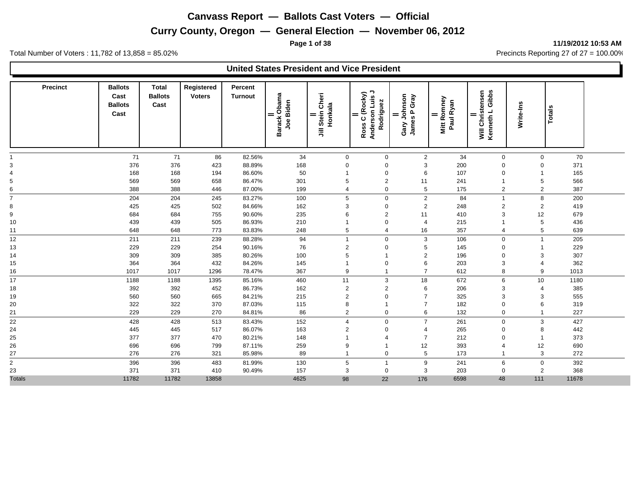**Page 1 of 38 11/19/2012 10:53 AM**

|                         |                                                  |                                        |                             |                           | <b>United States President and Vice President</b> |                                  |                                                   |                                              |                                        |                                          |                |               |  |
|-------------------------|--------------------------------------------------|----------------------------------------|-----------------------------|---------------------------|---------------------------------------------------|----------------------------------|---------------------------------------------------|----------------------------------------------|----------------------------------------|------------------------------------------|----------------|---------------|--|
| <b>Precinct</b>         | <b>Ballots</b><br>Cast<br><b>Ballots</b><br>Cast | <b>Total</b><br><b>Ballots</b><br>Cast | Registered<br><b>Voters</b> | Percent<br><b>Turnout</b> | Barack Obama<br>Joe Biden                         | Stein Cheri<br>Honkala<br>=<br>巪 | ¬<br>Ross C (Rocky)<br>Anderson Luis<br>Rodriguez | Johnson<br>es P Gray<br>Gary John<br>James P | <b>Mitt Romney</b><br>Paul Ryan<br>$=$ | Will Christensen<br>Kenneth L Gibbs<br>= | Write-Ins      | <b>Totals</b> |  |
|                         | 71                                               | 71                                     | 86                          | 82.56%                    | 34                                                | $\mathbf 0$                      | $\mathbf 0$                                       | $\overline{2}$                               | 34                                     | $\mathbf 0$                              | 0              | 70            |  |
|                         | 376                                              | 376                                    | 423                         | 88.89%                    | 168                                               | $\Omega$                         | $\mathbf 0$                                       | 3                                            | 200                                    | $\Omega$                                 | $\mathbf 0$    | 371           |  |
|                         | 168                                              | 168                                    | 194                         | 86.60%                    | 50                                                |                                  | $\mathbf 0$                                       | 6                                            | 107                                    | $\mathbf 0$                              | -1             | 165           |  |
|                         | 569                                              | 569                                    | 658                         | 86.47%                    | 301                                               | 5                                | $\overline{2}$                                    | 11                                           | 241                                    | 1                                        | 5              | 566           |  |
|                         | 388                                              | 388                                    | 446                         | 87.00%                    | 199                                               | $\overline{4}$                   | $\mathbf 0$                                       | 5                                            | 175                                    | $\overline{2}$                           | 2              | 387           |  |
|                         | 204                                              | 204                                    | 245                         | 83.27%                    | 100                                               | 5                                | $\mathbf 0$                                       | $\overline{2}$                               | 84                                     | $\overline{1}$                           | 8              | 200           |  |
| 8                       | 425                                              | 425                                    | 502                         | 84.66%                    | 162                                               | 3                                | $\mathbf 0$                                       | $\overline{2}$                               | 248                                    | $\overline{2}$                           | $\overline{2}$ | 419           |  |
| 9                       | 684                                              | 684                                    | 755                         | 90.60%                    | 235                                               | 6                                | $\overline{2}$                                    | 11                                           | 410                                    | 3                                        | 12             | 679           |  |
| 10                      | 439                                              | 439                                    | 505                         | 86.93%                    | 210                                               |                                  | $\mathbf 0$                                       | $\overline{4}$                               | 215                                    | 1                                        | 5              | 436           |  |
| 11                      | 648                                              | 648                                    | 773                         | 83.83%                    | 248                                               | 5                                | $\overline{4}$                                    | 16                                           | 357                                    | $\overline{4}$                           | 5              | 639           |  |
| 12                      | 211                                              | 211                                    | 239                         | 88.28%                    | 94                                                | $\overline{1}$                   | $\mathbf 0$                                       | 3                                            | 106                                    | $\mathbf 0$                              | $\mathbf{1}$   | 205           |  |
| 13                      | 229                                              | 229                                    | 254                         | 90.16%                    | 76                                                | $\overline{c}$                   | $\mathbf 0$                                       | 5                                            | 145                                    | 0                                        | -1             | 229           |  |
| 14                      | 309                                              | 309                                    | 385                         | 80.26%                    | 100                                               | 5                                |                                                   | $\overline{2}$                               | 196                                    | $\mathbf 0$                              | 3              | 307           |  |
| 15                      | 364                                              | 364                                    | 432                         | 84.26%                    | 145                                               |                                  | $\mathbf 0$                                       | 6                                            | 203                                    | 3                                        | 4              | 362           |  |
| 16                      | 1017                                             | 1017                                   | 1296                        | 78.47%                    | 367                                               | 9                                | $\overline{1}$                                    | $\overline{7}$                               | 612                                    | 8                                        | 9              | 1013          |  |
| 17                      | 1188                                             | 1188                                   | 1395                        | 85.16%                    | 460                                               | 11                               | 3                                                 | 18                                           | 672                                    | 6                                        | 10             | 1180          |  |
| 18                      | 392                                              | 392                                    | 452                         | 86.73%                    | 162                                               | $\overline{\mathbf{c}}$          | $\overline{2}$                                    | 6                                            | 206                                    | 3                                        | $\overline{4}$ | 385           |  |
| 19                      | 560                                              | 560                                    | 665                         | 84.21%                    | 215                                               | 2                                | $\mathbf 0$                                       | $\overline{7}$                               | 325                                    | 3                                        | 3              | 555           |  |
| 20                      | 322                                              | 322                                    | 370                         | 87.03%                    | 115                                               | 8                                |                                                   | $\overline{7}$                               | 182                                    | $\mathbf 0$                              | 6              | 319           |  |
| 21                      | 229                                              | 229                                    | 270                         | 84.81%                    | 86                                                | $\overline{2}$                   | $\mathbf 0$                                       | 6                                            | 132                                    | $\mathbf 0$                              | $\mathbf{1}$   | 227           |  |
| 22                      | 428                                              | 428                                    | 513                         | 83.43%                    | 152                                               | $\overline{4}$                   | $\mathbf 0$                                       | $\overline{7}$                               | 261                                    | $\mathbf 0$                              | 3              | 427           |  |
| 24                      | 445                                              | 445                                    | 517                         | 86.07%                    | 163                                               | 2                                | $\mathbf 0$                                       | 4                                            | 265                                    | $\mathbf 0$                              | 8              | 442           |  |
| 25                      | 377                                              | 377                                    | 470                         | 80.21%                    | 148                                               |                                  | 4                                                 | $\overline{7}$                               | 212                                    | $\mathbf 0$                              | -1             | 373           |  |
| 26                      | 696                                              | 696                                    | 799                         | 87.11%                    | 259                                               | 9                                |                                                   | 12                                           | 393                                    | $\overline{4}$                           | 12             | 690           |  |
| 27                      | 276                                              | 276                                    | 321                         | 85.98%                    | 89                                                | $\overline{1}$                   | $\mathbf 0$                                       | 5                                            | 173                                    | $\mathbf{1}$                             | 3              | 272           |  |
| $\overline{\mathbf{c}}$ | 396                                              | 396                                    | 483                         | 81.99%                    | 130                                               | 5                                | $\overline{1}$                                    | 9                                            | 241                                    | 6                                        | $\mathbf 0$    | 392           |  |
| 23                      | 371                                              | 371                                    | 410                         | 90.49%                    | 157                                               | 3                                | $\mathbf 0$                                       | 3                                            | 203                                    | $\mathbf 0$                              | 2              | 368           |  |
| <b>Totals</b>           | 11782                                            | 11782                                  | 13858                       |                           | 4625                                              | 98                               | 22                                                | 176                                          | 6598                                   | 48                                       | 111            | 11678         |  |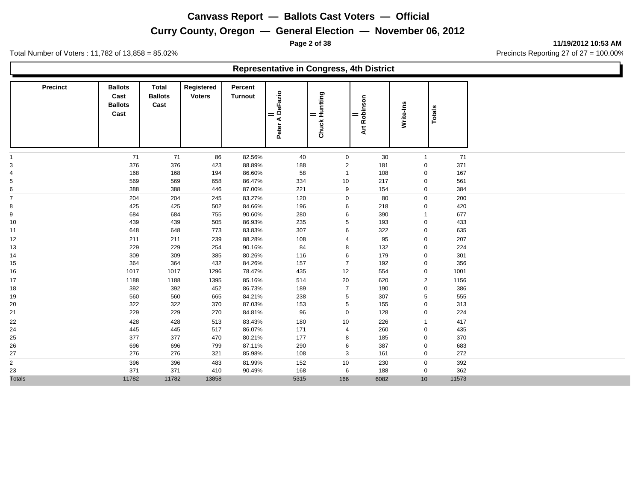**Page 2 of 38 11/19/2012 10:53 AM**

Total Number of Voters : 11,782 of 13,858 = 85.02% Precincts Reporting 27 of 27 = 100.00%

#### **Representative in Congress, 4th District**

| <b>Precinct</b>     | <b>Ballots</b><br>Cast<br><b>Ballots</b><br>Cast | <b>Total</b><br><b>Ballots</b><br>Cast | Registered<br><b>Voters</b> | Percent<br><b>Turnout</b> | Peter A DeFazio<br>$=$ | Chuck Huntting<br>$=$ | Art Robinson<br>$=$ | Write-Ins        | Totals |  |
|---------------------|--------------------------------------------------|----------------------------------------|-----------------------------|---------------------------|------------------------|-----------------------|---------------------|------------------|--------|--|
|                     | 71                                               | 71                                     | 86                          | 82.56%                    | 40                     | $\mathbf 0$           | $30\,$              | $\mathbf{1}$     | 71     |  |
| 3                   | 376                                              | 376                                    | 423                         | 88.89%                    | 188                    | $\overline{2}$        | 181                 | $\mathbf 0$      | 371    |  |
| 4                   | 168                                              | 168                                    | 194                         | 86.60%                    | 58                     | -1                    | 108                 | $\mathbf 0$      | 167    |  |
| 5                   | 569                                              | 569                                    | 658                         | 86.47%                    | 334                    | 10                    | 217                 | $\mathbf 0$      | 561    |  |
| 6<br>-              | 388                                              | 388                                    | 446                         | 87.00%                    | 221                    | 9                     | 154                 | $\boldsymbol{0}$ | 384    |  |
| $\overline{7}$      | 204                                              | 204                                    | 245                         | 83.27%                    | 120                    | 0                     | 80                  | $\mathbf 0$      | 200    |  |
| 8                   | 425                                              | 425                                    | 502                         | 84.66%                    | 196                    | 6                     | 218                 | $\mathbf 0$      | 420    |  |
| 9                   | 684                                              | 684                                    | 755                         | 90.60%                    | 280                    | 6                     | 390                 | $\overline{1}$   | 677    |  |
| 10                  | 439                                              | 439                                    | 505                         | 86.93%                    | 235                    | 5                     | 193                 | $\mathbf 0$      | 433    |  |
| 11                  | 648                                              | 648                                    | 773                         | 83.83%                    | 307                    | 6                     | 322                 | $\mathbf 0$      | 635    |  |
| 12                  | 211                                              | 211                                    | 239                         | 88.28%                    | 108                    | 4                     | 95                  | $\mathbf 0$      | 207    |  |
| 13                  | 229                                              | 229                                    | 254                         | 90.16%                    | 84                     | 8                     | 132                 | $\mathbf 0$      | 224    |  |
| 14                  | 309                                              | 309                                    | 385                         | 80.26%                    | 116                    | 6                     | 179                 | $\mathbf 0$      | 301    |  |
| 15                  | 364                                              | 364                                    | 432                         | 84.26%                    | 157                    | $\overline{7}$        | 192                 | $\mathbf 0$      | 356    |  |
| 16                  | 1017                                             | 1017                                   | 1296                        | 78.47%                    | 435                    | 12                    | 554                 | $\mathbf 0$      | 1001   |  |
| 17                  | 1188                                             | 1188                                   | 1395                        | 85.16%                    | 514                    | 20                    | 620                 | 2                | 1156   |  |
| 18                  | 392                                              | 392                                    | 452                         | 86.73%                    | 189                    | $\overline{7}$        | 190                 | $\mathbf 0$      | 386    |  |
| 19                  | 560                                              | 560                                    | 665                         | 84.21%                    | 238                    | 5                     | 307                 | 5                | 555    |  |
| 20                  | 322                                              | 322                                    | 370                         | 87.03%                    | 153                    | 5                     | 155                 | $\mathbf 0$      | 313    |  |
| 21                  | 229                                              | 229                                    | 270                         | 84.81%                    | 96                     | 0                     | 128                 | $\pmb{0}$        | 224    |  |
| 22                  | 428                                              | 428                                    | 513                         | 83.43%                    | 180                    | 10                    | 226                 | $\mathbf{1}$     | 417    |  |
| 24                  | 445                                              | 445                                    | 517                         | 86.07%                    | 171                    | $\overline{4}$        | 260                 | $\mathbf 0$      | 435    |  |
| 25                  | 377                                              | 377                                    | 470                         | 80.21%                    | 177                    | 8                     | 185                 | $\mathbf 0$      | 370    |  |
| 26                  | 696                                              | 696                                    | 799                         | 87.11%                    | 290                    | 6                     | 387                 | $\mathbf 0$      | 683    |  |
| 27                  | 276                                              | 276                                    | 321                         | 85.98%                    | 108                    | 3                     | 161                 | $\mathbf 0$      | 272    |  |
| -<br>$\overline{a}$ | 396                                              | 396                                    | 483                         | 81.99%                    | 152                    | 10                    | 230                 | $\mathbf 0$      | 392    |  |
| 23                  | 371                                              | 371                                    | 410                         | 90.49%                    | 168                    | 6                     | 188                 | $\boldsymbol{0}$ | 362    |  |
| <b>Totals</b>       | 11782                                            | 11782                                  | 13858                       |                           | 5315                   | 166                   | 6082                | 10               | 11573  |  |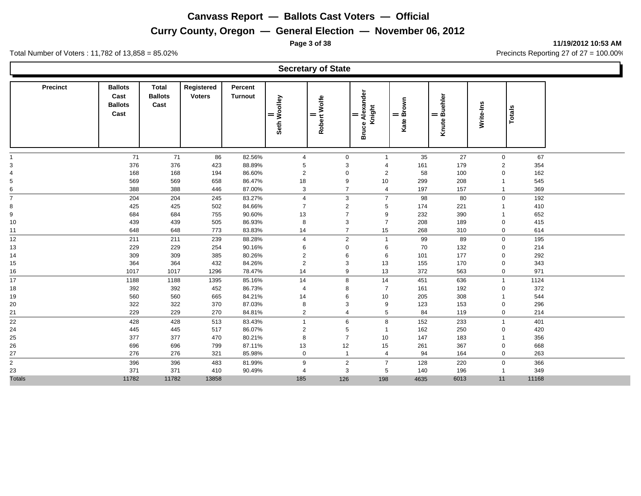**Page 3 of 38 11/19/2012 10:53 AM**

Total Number of Voters : 11,782 of 13,858 = 85.02% Precincts Reporting 27 of 27 = 100.00%

#### **Secretary of State**

| <b>Precinct</b> | <b>Ballots</b><br>Cast<br><b>Ballots</b><br>Cast | <b>Total</b><br><b>Ballots</b><br>Cast | Registered<br><b>Voters</b> | Percent<br><b>Turnout</b> | Seth Woolley<br>= | Robert Wolfe<br>$=$ | Alexander<br>Knight<br>$=$<br>Bruce | $\frac{1}{\text{Brown}}$<br>Kate | <b>juehler</b><br>m<br>$=$<br><b>Knute</b> | Write-Ins      | Totals |  |
|-----------------|--------------------------------------------------|----------------------------------------|-----------------------------|---------------------------|-------------------|---------------------|-------------------------------------|----------------------------------|--------------------------------------------|----------------|--------|--|
|                 | 71                                               | 71                                     | 86                          | 82.56%                    | $\overline{4}$    | $\mathbf 0$         | $\mathbf 1$                         | 35                               | 27                                         | $\mathbf 0$    | 67     |  |
| 3               | 376                                              | 376                                    | 423                         | 88.89%                    | 5                 | 3                   | 4                                   | 161                              | 179                                        | $\overline{2}$ | 354    |  |
|                 | 168                                              | 168                                    | 194                         | 86.60%                    | $\overline{2}$    | $\mathbf 0$         | $\overline{2}$                      | 58                               | 100                                        | 0              | 162    |  |
| 5               | 569                                              | 569                                    | 658                         | 86.47%                    | 18                | 9                   | 10                                  | 299                              | 208                                        |                | 545    |  |
| 6<br>-          | 388                                              | 388                                    | 446                         | 87.00%                    | 3                 | $\overline{7}$      | $\overline{4}$                      | 197                              | 157                                        | $\overline{1}$ | 369    |  |
| $\overline{7}$  | 204                                              | 204                                    | 245                         | 83.27%                    | $\overline{4}$    | 3                   | $\overline{7}$                      | 98                               | 80                                         | $\mathbf{0}$   | 192    |  |
| 8               | 425                                              | 425                                    | 502                         | 84.66%                    | $\overline{7}$    | $\overline{2}$      | 5                                   | 174                              | 221                                        |                | 410    |  |
| 9               | 684                                              | 684                                    | 755                         | 90.60%                    | 13                | $\overline{7}$      | 9                                   | 232                              | 390                                        |                | 652    |  |
| 10              | 439                                              | 439                                    | 505                         | 86.93%                    | 8                 | 3                   | $\overline{7}$                      | 208                              | 189                                        | 0              | 415    |  |
| 11              | 648                                              | 648                                    | 773                         | 83.83%                    | 14                | $\overline{7}$      | 15                                  | 268                              | 310                                        | $\mathbf 0$    | 614    |  |
| 12              | 211                                              | 211                                    | 239                         | 88.28%                    | $\overline{4}$    | 2                   | $\overline{1}$                      | 99                               | 89                                         | $\mathbf 0$    | 195    |  |
| 13              | 229                                              | 229                                    | 254                         | 90.16%                    | 6                 | $\mathbf 0$         | 6                                   | 70                               | 132                                        | 0              | 214    |  |
| 14              | 309                                              | 309                                    | 385                         | 80.26%                    | $\overline{c}$    | 6                   | 6                                   | 101                              | 177                                        | $\mathbf 0$    | 292    |  |
| 15              | 364                                              | 364                                    | 432                         | 84.26%                    | $\sqrt{2}$        | 3                   | 13                                  | 155                              | 170                                        | $\mathbf 0$    | 343    |  |
| 16              | 1017                                             | 1017                                   | 1296                        | 78.47%                    | 14                | 9                   | 13                                  | 372                              | 563                                        | $\mathbf 0$    | 971    |  |
| 17              | 1188                                             | 1188                                   | 1395                        | 85.16%                    | 14                | 8                   | 14                                  | 451                              | 636                                        | $\overline{1}$ | 1124   |  |
| 18              | 392                                              | 392                                    | 452                         | 86.73%                    | $\overline{4}$    | 8                   | $\overline{7}$                      | 161                              | 192                                        | $\mathbf 0$    | 372    |  |
| 19              | 560                                              | 560                                    | 665                         | 84.21%                    | 14                | 6                   | 10                                  | 205                              | 308                                        |                | 544    |  |
| 20              | 322                                              | 322                                    | 370                         | 87.03%                    | 8                 | 3                   | $9\,$                               | 123                              | 153                                        | $\mathbf 0$    | 296    |  |
| 21              | 229                                              | 229                                    | 270                         | 84.81%                    | $\overline{2}$    | $\overline{4}$      | 5                                   | 84                               | 119                                        | $\mathbf 0$    | 214    |  |
| 22              | 428                                              | 428                                    | 513                         | 83.43%                    | $\mathbf{1}$      | 6                   | 8                                   | 152                              | 233                                        | $\overline{1}$ | 401    |  |
| 24              | 445                                              | 445                                    | 517                         | 86.07%                    | $\overline{c}$    | 5                   | $\mathbf{1}$                        | 162                              | 250                                        | 0              | 420    |  |
| 25              | 377                                              | 377                                    | 470                         | 80.21%                    | 8                 | $\overline{7}$      | 10                                  | 147                              | 183                                        |                | 356    |  |
| 26              | 696                                              | 696                                    | 799                         | 87.11%                    | 13                | 12                  | 15                                  | 261                              | 367                                        | $\mathbf 0$    | 668    |  |
| 27              | 276                                              | 276                                    | 321                         | 85.98%                    | $\mathbf 0$       | $\overline{1}$      | $\overline{4}$                      | 94                               | 164                                        | $\mathbf 0$    | 263    |  |
| $\overline{2}$  | 396                                              | 396                                    | 483                         | 81.99%                    | 9                 | $\overline{2}$      | $\overline{7}$                      | 128                              | 220                                        | $\mathbf 0$    | 366    |  |
| 23              | 371                                              | 371                                    | 410                         | 90.49%                    | $\overline{4}$    | 3                   | 5                                   | 140                              | 196                                        | -1             | 349    |  |
| <b>Totals</b>   | 11782                                            | 11782                                  | 13858                       |                           | 185               | 126                 | 198                                 | 4635                             | 6013                                       | 11             | 11168  |  |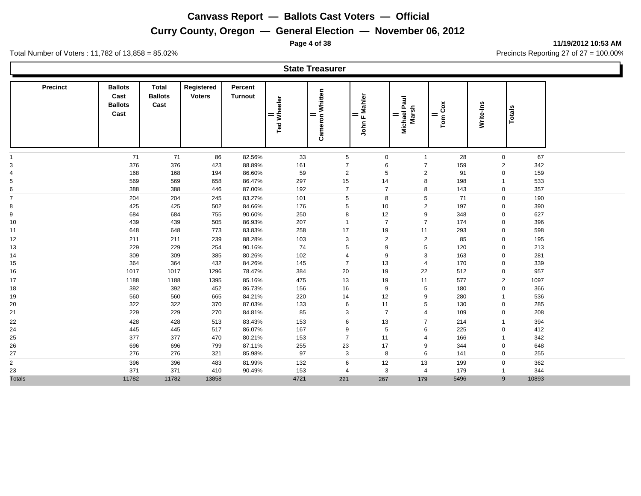**Page 4 of 38 11/19/2012 10:53 AM**

Total Number of Voters : 11,782 of 13,858 = 85.02% Precincts Reporting 27 of 27 = 100.00%

#### **State Treasurer**

| <b>Precinct</b> | <b>Ballots</b><br>Cast<br><b>Ballots</b><br>Cast | <b>Total</b><br><b>Ballots</b><br>Cast | Registered<br><b>Voters</b> | Percent<br><b>Turnout</b> | <b>Ted Wheeler</b><br>$=$ | Whitten<br>Cameron<br>$=$ | John F Mahler  | Paul<br>Marsh<br><b>Michael</b><br>= | Tom Cox<br>$=$ | Write-Ins      | Totals |  |
|-----------------|--------------------------------------------------|----------------------------------------|-----------------------------|---------------------------|---------------------------|---------------------------|----------------|--------------------------------------|----------------|----------------|--------|--|
|                 | 71                                               | 71                                     | 86                          | 82.56%                    | 33                        | $5\phantom{.0}$           | 0              | $\overline{1}$                       | 28             | $\mathbf 0$    | 67     |  |
| 3               | 376                                              | 376                                    | 423                         | 88.89%                    | 161                       | $\overline{7}$            | 6              | $\overline{7}$                       | 159            | $\overline{2}$ | 342    |  |
| 4               | 168                                              | 168                                    | 194                         | 86.60%                    | 59                        | $\overline{2}$            | 5              | $\overline{2}$                       | 91             | 0              | 159    |  |
| 5               | 569                                              | 569                                    | 658                         | 86.47%                    | 297                       | 15                        | 14             | 8                                    | 198            |                | 533    |  |
| 6<br>-          | 388                                              | 388                                    | 446                         | 87.00%                    | 192                       | $\overline{7}$            | $\overline{7}$ | 8                                    | 143            | 0              | 357    |  |
| $\overline{7}$  | 204                                              | 204                                    | 245                         | 83.27%                    | 101                       | 5                         | 8              | 5                                    | 71             | $\mathbf 0$    | 190    |  |
| 8               | 425                                              | 425                                    | 502                         | 84.66%                    | 176                       | 5                         | 10             | $\overline{2}$                       | 197            | 0              | 390    |  |
| 9               | 684                                              | 684                                    | 755                         | 90.60%                    | 250                       | 8                         | 12             | 9                                    | 348            | 0              | 627    |  |
| 10              | 439                                              | 439                                    | 505                         | 86.93%                    | 207                       | $\overline{\mathbf{1}}$   | $\overline{7}$ | $\overline{7}$                       | 174            | $\mathbf 0$    | 396    |  |
| 11              | 648                                              | 648                                    | 773                         | 83.83%                    | 258                       | 17                        | 19             | 11                                   | 293            | $\mathbf 0$    | 598    |  |
| 12              | 211                                              | 211                                    | 239                         | 88.28%                    | 103                       | 3                         | $\overline{2}$ | $\overline{2}$                       | 85             | $\mathbf 0$    | 195    |  |
| 13              | 229                                              | 229                                    | 254                         | 90.16%                    | 74                        | 5                         | 9              | 5                                    | 120            | 0              | 213    |  |
| 14              | 309                                              | 309                                    | 385                         | 80.26%                    | 102                       | $\overline{4}$            | 9              | 3                                    | 163            | 0              | 281    |  |
| 15              | 364                                              | 364                                    | 432                         | 84.26%                    | 145                       | $\overline{7}$            | 13             | $\overline{4}$                       | 170            | $\mathbf 0$    | 339    |  |
| 16              | 1017                                             | 1017                                   | 1296                        | 78.47%                    | 384                       | 20                        | 19             | 22                                   | 512            | 0              | 957    |  |
| 17              | 1188                                             | 1188                                   | 1395                        | 85.16%                    | 475                       | 13                        | 19             | 11                                   | 577            | $\overline{2}$ | 1097   |  |
| 18              | 392                                              | 392                                    | 452                         | 86.73%                    | 156                       | 16                        | 9              | 5                                    | 180            | 0              | 366    |  |
| 19              | 560                                              | 560                                    | 665                         | 84.21%                    | 220                       | 14                        | 12             | 9                                    | 280            |                | 536    |  |
| 20              | 322                                              | 322                                    | 370                         | 87.03%                    | 133                       | 6                         | 11             | 5                                    | 130            | $\mathbf 0$    | 285    |  |
| 21              | 229                                              | 229                                    | 270                         | 84.81%                    | 85                        | 3                         | $\overline{7}$ | $\overline{4}$                       | 109            | 0              | 208    |  |
| 22              | 428                                              | 428                                    | 513                         | 83.43%                    | 153                       | 6                         | 13             | $\overline{7}$                       | 214            | $\overline{1}$ | 394    |  |
| 24              | 445                                              | 445                                    | 517                         | 86.07%                    | 167                       | 9                         | 5              | 6                                    | 225            | 0              | 412    |  |
| 25              | 377                                              | 377                                    | 470                         | 80.21%                    | 153                       | $\overline{7}$            | 11             | $\overline{4}$                       | 166            | 1              | 342    |  |
| 26              | 696                                              | 696                                    | 799                         | 87.11%                    | 255                       | 23                        | 17             | 9                                    | 344            | 0              | 648    |  |
| 27              | 276                                              | 276                                    | 321                         | 85.98%                    | 97                        | 3                         | 8              | 6                                    | 141            | $\mathbf 0$    | 255    |  |
| $\overline{c}$  | 396                                              | 396                                    | 483                         | 81.99%                    | 132                       | 6                         | 12             | 13                                   | 199            | $\mathbf 0$    | 362    |  |
| 23              | 371                                              | 371                                    | 410                         | 90.49%                    | 153                       | $\overline{4}$            | 3              | $\overline{4}$                       | 179            |                | 344    |  |
| <b>Totals</b>   | 11782                                            | 11782                                  | 13858                       |                           | 4721                      | 221                       | 267            | 179                                  | 5496           | 9              | 10893  |  |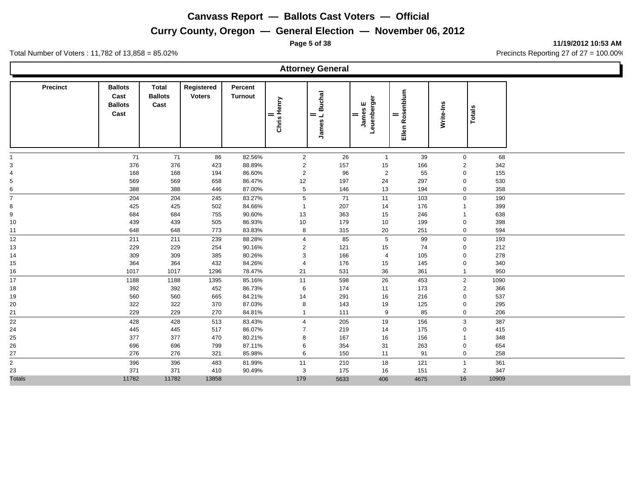**Page 5 of 38 11/19/2012 10:53 AM**

Total Number of Voters : 11,782 of 13,858 = 85.02% Precincts Reporting 27 of 27 = 100.00%

#### **Attorney General**

| <b>Precinct</b> | <b>Ballots</b><br>Cast<br><b>Ballots</b><br>Cast | <b>Total</b><br><b>Ballots</b><br>Cast | Registered<br><b>Voters</b> | Percent<br><b>Turnout</b> | Chris Henry<br>= | <b>Buchal</b><br>$=$<br>$\overline{\phantom{0}}$<br>James | Leuenberger<br>ш<br>James<br>= | Rosenblum<br>=<br>Ellen | Write-Ins      | <b>Totals</b> |  |
|-----------------|--------------------------------------------------|----------------------------------------|-----------------------------|---------------------------|------------------|-----------------------------------------------------------|--------------------------------|-------------------------|----------------|---------------|--|
|                 | 71                                               | 71                                     | 86                          | 82.56%                    | $\overline{2}$   | 26                                                        | $\mathbf{1}$                   | 39                      | $\mathbf 0$    | 68            |  |
| 3               | 376                                              | 376                                    | 423                         | 88.89%                    | $\overline{2}$   | 157                                                       | 15                             | 166                     | 2              | 342           |  |
| 4               | 168                                              | 168                                    | 194                         | 86.60%                    | $\overline{2}$   | 96                                                        | $\overline{2}$                 | 55                      | $\mathbf 0$    | 155           |  |
| 5               | 569                                              | 569                                    | 658                         | 86.47%                    | 12               | 197                                                       | 24                             | 297                     | $\mathbf 0$    | 530           |  |
| 6               | 388                                              | 388                                    | 446                         | 87.00%                    | $\,$ 5 $\,$      | 146                                                       | 13                             | 194                     | $\mathbf 0$    | 358           |  |
| $\overline{7}$  | 204                                              | 204                                    | 245                         | 83.27%                    | 5                | 71                                                        | 11                             | 103                     | $\mathbf 0$    | 190           |  |
| 8               | 425                                              | 425                                    | 502                         | 84.66%                    | $\overline{1}$   | 207                                                       | 14                             | 176                     | $\mathbf{1}$   | 399           |  |
| 9               | 684                                              | 684                                    | 755                         | 90.60%                    | 13               | 363                                                       | 15                             | 246                     | $\mathbf{1}$   | 638           |  |
| 10              | 439                                              | 439                                    | 505                         | 86.93%                    | 10               | 179                                                       | 10                             | 199                     | 0              | 398           |  |
| 11              | 648                                              | 648                                    | 773                         | 83.83%                    | 8                | 315                                                       | 20                             | 251                     | $\mathbf 0$    | 594           |  |
| 12              | 211                                              | 211                                    | 239                         | 88.28%                    | $\overline{4}$   | 85                                                        | $5\phantom{.0}$                | 99                      | $\mathbf 0$    | 193           |  |
| 13              | 229                                              | 229                                    | 254                         | 90.16%                    | $\sqrt{2}$       | 121                                                       | 15                             | 74                      | $\mathbf 0$    | 212           |  |
| 14              | 309                                              | 309                                    | 385                         | 80.26%                    | $\mathsf 3$      | 166                                                       | $\overline{4}$                 | 105                     | $\mathbf 0$    | 278           |  |
| 15              | 364                                              | 364                                    | 432                         | 84.26%                    | $\overline{4}$   | 176                                                       | 15                             | 145                     | $\mathbf 0$    | 340           |  |
| 16              | 1017                                             | 1017                                   | 1296                        | 78.47%                    | 21               | 531                                                       | 36                             | 361                     | $\mathbf{1}$   | 950           |  |
| 17              | 1188                                             | 1188                                   | 1395                        | 85.16%                    | 11               | 598                                                       | 26                             | 453                     | 2              | 1090          |  |
| 18              | 392                                              | 392                                    | 452                         | 86.73%                    | 6                | 174                                                       | 11                             | 173                     | 2              | 366           |  |
| 19              | 560                                              | 560                                    | 665                         | 84.21%                    | 14               | 291                                                       | 16                             | 216                     | $\mathbf 0$    | 537           |  |
| 20              | 322                                              | 322                                    | 370                         | 87.03%                    | 8                | 143                                                       | 19                             | 125                     | $\mathbf 0$    | 295           |  |
| 21              | 229                                              | 229                                    | 270                         | 84.81%                    | $\mathbf{1}$     | 111                                                       | 9                              | 85                      | $\mathbf 0$    | 206           |  |
| 22              | 428                                              | 428                                    | 513                         | 83.43%                    | $\overline{4}$   | 205                                                       | 19                             | 156                     | 3              | 387           |  |
| 24              | 445                                              | 445                                    | 517                         | 86.07%                    | $\overline{7}$   | 219                                                       | 14                             | 175                     | 0              | 415           |  |
| 25              | 377                                              | 377                                    | 470                         | 80.21%                    | 8                | 167                                                       | 16                             | 156                     | $\mathbf{1}$   | 348           |  |
| 26              | 696                                              | 696                                    | 799                         | 87.11%                    | 6                | 354                                                       | 31                             | 263                     | $\mathbf 0$    | 654           |  |
| 27              | 276                                              | 276                                    | 321                         | 85.98%                    | 6                | 150                                                       | 11                             | 91                      | $\mathbf 0$    | 258           |  |
| $\overline{2}$  | 396                                              | 396                                    | 483                         | 81.99%                    | 11               | 210                                                       | 18                             | 121                     | $\mathbf{1}$   | 361           |  |
| 23              | 371                                              | 371                                    | 410                         | 90.49%                    | 3                | 175                                                       | 16                             | 151                     | $\overline{2}$ | 347           |  |
| <b>Totals</b>   | 11782                                            | 11782                                  | 13858                       |                           | 179              | 5633                                                      | 406                            | 4675                    | 16             | 10909         |  |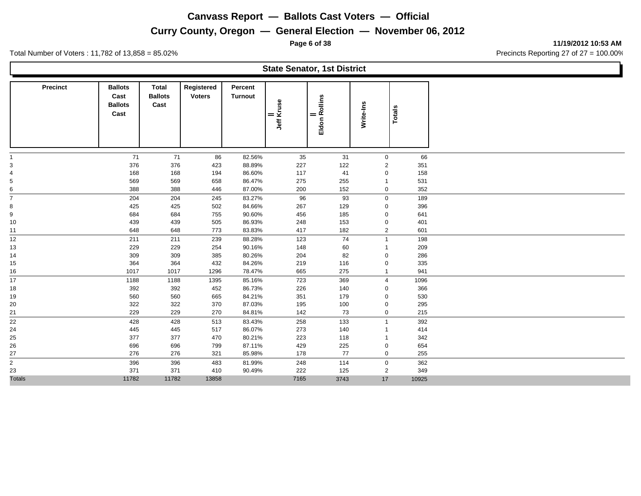## **Curry County, Oregon — General Election — November 06, 2012**

Total Number of Voters : 11,782 of 13,858 = 85.02% Precincts Reporting 27 of 27 = 100.00%

**Cast Ballots Cast**

**State Senator, 1st District Precinct Ballots Total Registered Ballots Cast Voters Turnout Percent Totals**<br> *Write-Ins*<br> *Eldon Rollins*<br> *Write-Ins*<br> *Vite-Ins*<br>
Totals 71 71 86 82.56% 35 31 0 66 376 376 423 88.89% 227 122 2 351 168 168 194 86.60% 117 41 0 158

|                |       |       |       | .      |      |      |              |       |  |
|----------------|-------|-------|-------|--------|------|------|--------------|-------|--|
| 5              | 569   | 569   | 658   | 86.47% | 275  | 255  |              | 531   |  |
|                | 388   | 388   | 446   | 87.00% | 200  | 152  | $\mathbf{0}$ | 352   |  |
|                | 204   | 204   | 245   | 83.27% | 96   | 93   | $\Omega$     | 189   |  |
| 8              | 425   | 425   | 502   | 84.66% | 267  | 129  | 0            | 396   |  |
| 9              | 684   | 684   | 755   | 90.60% | 456  | 185  | 0            | 641   |  |
| 10             | 439   | 439   | 505   | 86.93% | 248  | 153  | 0            | 401   |  |
| 11             | 648   | 648   | 773   | 83.83% | 417  | 182  | 2            | 601   |  |
| 12             | 211   | 211   | 239   | 88.28% | 123  | 74   |              | 198   |  |
| 13             | 229   | 229   | 254   | 90.16% | 148  | 60   |              | 209   |  |
| 14             | 309   | 309   | 385   | 80.26% | 204  | 82   |              | 286   |  |
| 15             | 364   | 364   | 432   | 84.26% | 219  | 116  |              | 335   |  |
| 16             | 1017  | 1017  | 1296  | 78.47% | 665  | 275  |              | 941   |  |
| 17             | 1188  | 1188  | 1395  | 85.16% | 723  | 369  |              | 1096  |  |
| 18             | 392   | 392   | 452   | 86.73% | 226  | 140  |              | 366   |  |
| 19             | 560   | 560   | 665   | 84.21% | 351  | 179  |              | 530   |  |
| 20             | 322   | 322   | 370   | 87.03% | 195  | 100  |              | 295   |  |
| 21             | 229   | 229   | 270   | 84.81% | 142  | 73   | 0            | 215   |  |
| 22             | 428   | 428   | 513   | 83.43% | 258  | 133  |              | 392   |  |
| 24             | 445   | 445   | 517   | 86.07% | 273  | 140  |              | 414   |  |
| 25             | 377   | 377   | 470   | 80.21% | 223  | 118  |              | 342   |  |
| 26             | 696   | 696   | 799   | 87.11% | 429  | 225  | $\Omega$     | 654   |  |
| 27             | 276   | 276   | 321   | 85.98% | 178  | 77   | 0            | 255   |  |
| $\overline{2}$ | 396   | 396   | 483   | 81.99% | 248  | 114  | $\Omega$     | 362   |  |
| 23             | 371   | 371   | 410   | 90.49% | 222  | 125  | 2            | 349   |  |
| <b>Totals</b>  | 11782 | 11782 | 13858 |        | 7165 | 3743 | 17           | 10925 |  |

**Page 6 of 38 11/19/2012 10:53 AM**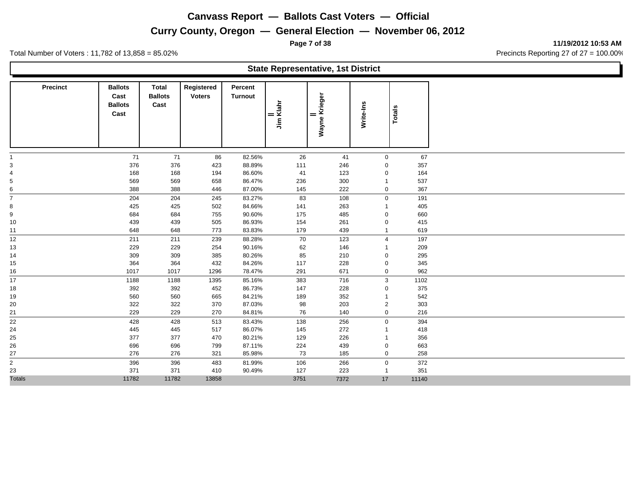## **Curry County, Oregon — General Election — November 06, 2012**

|                         |                                                  |                                        |                             |                    | <b>State Representative, 1st District</b> |                      |                |               |       |
|-------------------------|--------------------------------------------------|----------------------------------------|-----------------------------|--------------------|-------------------------------------------|----------------------|----------------|---------------|-------|
| <b>Precinct</b>         | <b>Ballots</b><br>Cast<br><b>Ballots</b><br>Cast | <b>Total</b><br><b>Ballots</b><br>Cast | Registered<br><b>Voters</b> | Percent<br>Turnout | <br>Jim Klahr                             | Wayne Krieger<br>$=$ | Write-Ins      | <b>Totals</b> |       |
|                         | 71                                               | 71                                     | 86                          | 82.56%             | 26                                        | 41                   | $\mathbf 0$    |               | 67    |
|                         | 376                                              | 376                                    | 423                         | 88.89%             | 111                                       | 246                  | $\mathbf 0$    |               | 357   |
|                         | 168                                              | 168                                    | 194                         | 86.60%             | 41                                        | 123                  | $\mathbf 0$    |               | 164   |
|                         | 569                                              | 569                                    | 658                         | 86.47%             | 236                                       | 300                  | $\mathbf 1$    |               | 537   |
| 6                       | 388                                              | 388                                    | 446                         | 87.00%             | 145                                       | 222                  | $\mathbf 0$    |               | 367   |
|                         | 204                                              | 204                                    | 245                         | 83.27%             | 83                                        | 108                  | $\mathbf 0$    |               | 191   |
| 8                       | 425                                              | 425                                    | 502                         | 84.66%             | 141                                       | 263                  | $\mathbf{1}$   |               | 405   |
| 9                       | 684                                              | 684                                    | 755                         | 90.60%             | 175                                       | 485                  | $\mathbf 0$    |               | 660   |
| 10                      | 439                                              | 439                                    | 505                         | 86.93%             | 154                                       | 261                  | $\mathbf 0$    |               | 415   |
| 11                      | 648                                              | 648                                    | 773                         | 83.83%             | 179                                       | 439                  | $\mathbf{1}$   |               | 619   |
| 12 <sup>°</sup>         | 211                                              | 211                                    | 239                         | 88.28%             | 70                                        | 123                  | $\overline{4}$ |               | 197   |
| 13                      | 229                                              | 229                                    | 254                         | 90.16%             | 62                                        | 146                  | -1             |               | 209   |
| 14                      | 309                                              | 309                                    | 385                         | 80.26%             | 85                                        | 210                  | $\mathbf 0$    |               | 295   |
| 15                      | 364                                              | 364                                    | 432                         | 84.26%             | 117                                       | 228                  | 0              |               | 345   |
| 16                      | 1017                                             | 1017                                   | 1296                        | 78.47%             | 291                                       | 671                  | $\mathbf 0$    |               | 962   |
| 17                      | 1188                                             | 1188                                   | 1395                        | 85.16%             | 383                                       | 716                  | 3              |               | 1102  |
| 18                      | 392                                              | 392                                    | 452                         | 86.73%             | 147                                       | 228                  | $\mathbf 0$    |               | 375   |
| 19                      | 560                                              | 560                                    | 665                         | 84.21%             | 189                                       | 352                  | $\mathbf{1}$   |               | 542   |
| 20                      | 322                                              | 322                                    | 370                         | 87.03%             | 98                                        | 203                  | $\overline{2}$ |               | 303   |
| 21                      | 229                                              | 229                                    | 270                         | 84.81%             | 76                                        | 140                  | $\mathbf 0$    |               | 216   |
| 22                      | 428                                              | 428                                    | 513                         | 83.43%             | 138                                       | 256                  | $\mathbf 0$    |               | 394   |
| 24                      | 445                                              | 445                                    | 517                         | 86.07%             | 145                                       | 272                  | -1             |               | 418   |
| 25                      | 377                                              | 377                                    | 470                         | 80.21%             | 129                                       | 226                  | $\mathbf{1}$   |               | 356   |
| 26                      | 696                                              | 696                                    | 799                         | 87.11%             | 224                                       | 439                  | 0              |               | 663   |
| 27                      | 276                                              | 276                                    | 321                         | 85.98%             | 73                                        | 185                  | $\mathbf 0$    |               | 258   |
| $\overline{\mathbf{c}}$ | 396                                              | 396                                    | 483                         | 81.99%             | 106                                       | 266                  | $\mathbf 0$    |               | 372   |
| 23                      | 371                                              | 371                                    | 410                         | 90.49%             | 127                                       | 223                  | $\mathbf{1}$   |               | 351   |
| <b>Totals</b>           | 11782                                            | 11782                                  | 13858                       |                    | 3751                                      | 7372                 | 17             |               | 11140 |

**Page 7 of 38 11/19/2012 10:53 AM**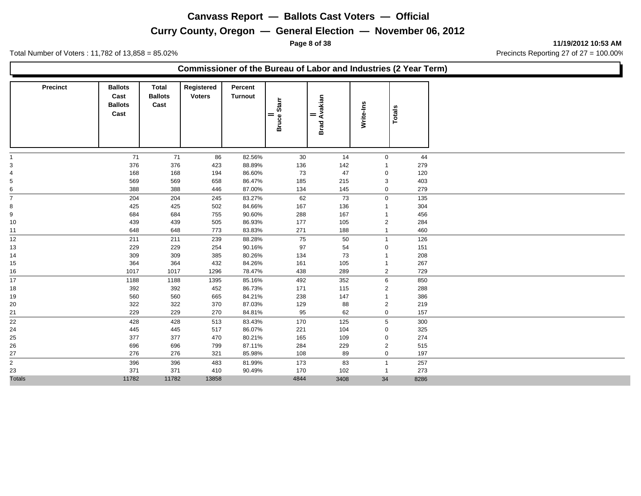**Page 8 of 38 11/19/2012 10:53 AM**

Total Number of Voters : 11,782 of 13,858 = 85.02% Precincts Reporting 27 of 27 = 100.00%

#### **Commissioner of the Bureau of Labor and Industries (2 Year Term)**

| <b>Precinct</b> | <b>Ballots</b><br>Cast<br><b>Ballots</b><br>Cast | <b>Total</b><br><b>Ballots</b><br>Cast | Registered<br><b>Voters</b> | Percent<br><b>Turnout</b> | Bruce Starr<br>$=$ | Avakian<br>$=$<br><b>Brad</b> | Write-Ins      | <b>Totals</b> |      |
|-----------------|--------------------------------------------------|----------------------------------------|-----------------------------|---------------------------|--------------------|-------------------------------|----------------|---------------|------|
|                 | 71                                               | 71                                     | 86                          | 82.56%                    | 30                 | 14                            | $\mathbf 0$    |               | 44   |
| 3               | 376                                              | 376                                    | 423                         | 88.89%                    | 136                | 142                           | 1              |               | 279  |
| 4               | 168                                              | 168                                    | 194                         | 86.60%                    | 73                 | 47                            | 0              |               | 120  |
| 5               | 569                                              | 569                                    | 658                         | 86.47%                    | 185                | 215                           | 3              |               | 403  |
| 6               | 388                                              | 388                                    | 446                         | 87.00%                    | 134                | 145                           | 0              |               | 279  |
| $\overline{7}$  | 204                                              | 204                                    | 245                         | 83.27%                    | 62                 | 73                            | $\mathbf{0}$   |               | 135  |
| 8               | 425                                              | 425                                    | 502                         | 84.66%                    | 167                | 136                           |                |               | 304  |
| 9               | 684                                              | 684                                    | 755                         | 90.60%                    | 288                | 167                           |                |               | 456  |
| 10              | 439                                              | 439                                    | 505                         | 86.93%                    | 177                | 105                           | 2              |               | 284  |
| 11              | 648                                              | 648                                    | 773                         | 83.83%                    | 271                | 188                           |                |               | 460  |
| 12              | 211                                              | 211                                    | 239                         | 88.28%                    | 75                 | 50                            | $\overline{1}$ |               | 126  |
| 13              | 229                                              | 229                                    | 254                         | 90.16%                    | 97                 | 54                            | 0              |               | 151  |
| 14              | 309                                              | 309                                    | 385                         | 80.26%                    | 134                | 73                            |                |               | 208  |
| 15              | 364                                              | 364                                    | 432                         | 84.26%                    | 161                | 105                           |                |               | 267  |
| 16              | 1017                                             | 1017                                   | 1296                        | 78.47%                    | 438                | 289                           | $\overline{2}$ |               | 729  |
| 17              | 1188                                             | 1188                                   | 1395                        | 85.16%                    | 492                | 352                           | 6              |               | 850  |
| 18              | 392                                              | 392                                    | 452                         | 86.73%                    | 171                | 115                           | $\overline{2}$ |               | 288  |
| 19              | 560                                              | 560                                    | 665                         | 84.21%                    | 238                | 147                           |                |               | 386  |
| 20              | 322                                              | 322                                    | 370                         | 87.03%                    | 129                | 88                            | $\overline{2}$ |               | 219  |
| 21              | 229                                              | 229                                    | 270                         | 84.81%                    | 95                 | 62                            | 0              |               | 157  |
| 22              | 428                                              | 428                                    | 513                         | 83.43%                    | 170                | 125                           | 5              |               | 300  |
| 24              | 445                                              | 445                                    | 517                         | 86.07%                    | 221                | 104                           | 0              |               | 325  |
| 25              | 377                                              | 377                                    | 470                         | 80.21%                    | 165                | 109                           | 0              |               | 274  |
| 26              | 696                                              | 696                                    | 799                         | 87.11%                    | 284                | 229                           | $\overline{2}$ |               | 515  |
| 27              | 276                                              | 276                                    | 321                         | 85.98%                    | 108                | 89                            | 0              |               | 197  |
| $\frac{1}{2}$   | 396                                              | 396                                    | 483                         | 81.99%                    | 173                | 83                            | $\overline{1}$ |               | 257  |
| 23              | 371                                              | 371                                    | 410                         | 90.49%                    | 170                | 102                           | -1             |               | 273  |
| <b>Totals</b>   | 11782                                            | 11782                                  | 13858                       |                           | 4844               | 3408                          | 34             |               | 8286 |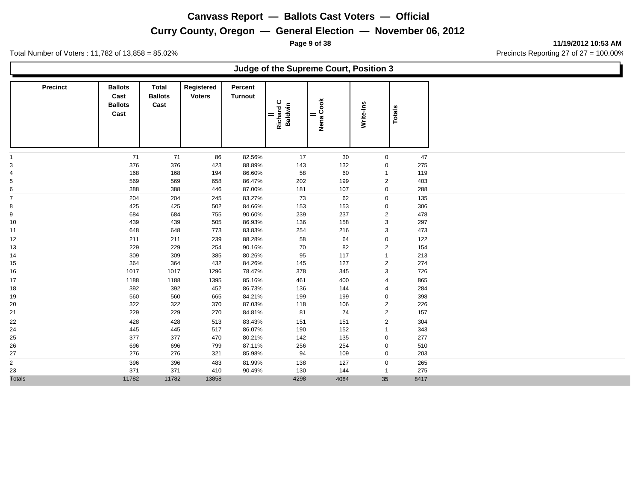**Page 9 of 38 11/19/2012 10:53 AM**

Total Number of Voters : 11,782 of 13,858 = 85.02% Precincts Reporting 27 of 27 = 100.00%

#### **Judge of the Supreme Court, Position 3**

| <b>Precinct</b> | <b>Ballots</b><br>Cast<br><b>Ballots</b><br>Cast | Total<br><b>Ballots</b><br>Cast | Registered<br><b>Voters</b> | Percent<br><b>Turnout</b> | Richard C<br>Baldwin<br>$=$ | Nena Cook<br>= | Write-Ins               | <b>Totals</b> |      |
|-----------------|--------------------------------------------------|---------------------------------|-----------------------------|---------------------------|-----------------------------|----------------|-------------------------|---------------|------|
| $\mathbf{1}$    | 71                                               | 71                              | 86                          | 82.56%                    | 17                          | 30             | 0                       |               | 47   |
| 3               | 376                                              | 376                             | 423                         | 88.89%                    | 143                         | 132            | 0                       |               | 275  |
| $\overline{a}$  | 168                                              | 168                             | 194                         | 86.60%                    | 58                          | 60             |                         |               | 119  |
| 5               | 569                                              | 569                             | 658                         | 86.47%                    | 202                         | 199            | $\overline{2}$          |               | 403  |
| 6<br>-          | 388                                              | 388                             | 446                         | 87.00%                    | 181                         | 107            | 0                       |               | 288  |
| $\overline{7}$  | 204                                              | 204                             | 245                         | 83.27%                    | 73                          | 62             | $\mathbf 0$             |               | 135  |
| 8               | 425                                              | 425                             | 502                         | 84.66%                    | 153                         | 153            | $\mathbf 0$             |               | 306  |
| 9               | 684                                              | 684                             | 755                         | 90.60%                    | 239                         | 237            | $\overline{2}$          |               | 478  |
| 10              | 439                                              | 439                             | 505                         | 86.93%                    | 136                         | 158            | 3                       |               | 297  |
| 11              | 648                                              | 648                             | 773                         | 83.83%                    | 254                         | 216            | 3                       |               | 473  |
| 12              | 211                                              | 211                             | 239                         | 88.28%                    | 58                          | 64             | $\mathbf 0$             |               | 122  |
| 13              | 229                                              | 229                             | 254                         | 90.16%                    | 70                          | 82             | $\overline{2}$          |               | 154  |
| 14              | 309                                              | 309                             | 385                         | 80.26%                    | 95                          | 117            | $\overline{1}$          |               | 213  |
| 15              | 364                                              | 364                             | 432                         | 84.26%                    | 145                         | 127            | $\overline{c}$          |               | 274  |
| 16              | 1017                                             | 1017                            | 1296                        | 78.47%                    | 378                         | 345            | 3                       |               | 726  |
| 17              | 1188                                             | 1188                            | 1395                        | 85.16%                    | 461                         | 400            | $\overline{4}$          |               | 865  |
| 18              | 392                                              | 392                             | 452                         | 86.73%                    | 136                         | 144            | 4                       |               | 284  |
| 19              | 560                                              | 560                             | 665                         | 84.21%                    | 199                         | 199            | 0                       |               | 398  |
| 20              | 322                                              | 322                             | 370                         | 87.03%                    | 118                         | 106            | $\overline{2}$          |               | 226  |
| 21              | 229                                              | 229                             | 270                         | 84.81%                    | 81                          | 74             | $\overline{\mathbf{c}}$ |               | 157  |
| 22              | 428                                              | 428                             | 513                         | 83.43%                    | 151                         | 151            | $\overline{2}$          |               | 304  |
| 24              | 445                                              | 445                             | 517                         | 86.07%                    | 190                         | 152            | 1                       |               | 343  |
| 25              | 377                                              | 377                             | 470                         | 80.21%                    | 142                         | 135            | $\mathbf 0$             |               | 277  |
| 26              | 696                                              | 696                             | 799                         | 87.11%                    | 256                         | 254            | $\mathbf 0$             |               | 510  |
| 27              | 276                                              | 276                             | 321                         | 85.98%                    | 94                          | 109            | 0                       |               | 203  |
| $\overline{2}$  | 396                                              | 396                             | 483                         | 81.99%                    | 138                         | 127            | $\mathbf 0$             |               | 265  |
| 23              | 371                                              | 371                             | 410                         | 90.49%                    | 130                         | 144            | $\overline{1}$          |               | 275  |
| <b>Totals</b>   | 11782                                            | 11782                           | 13858                       |                           | 4298                        | 4084           | 35                      |               | 8417 |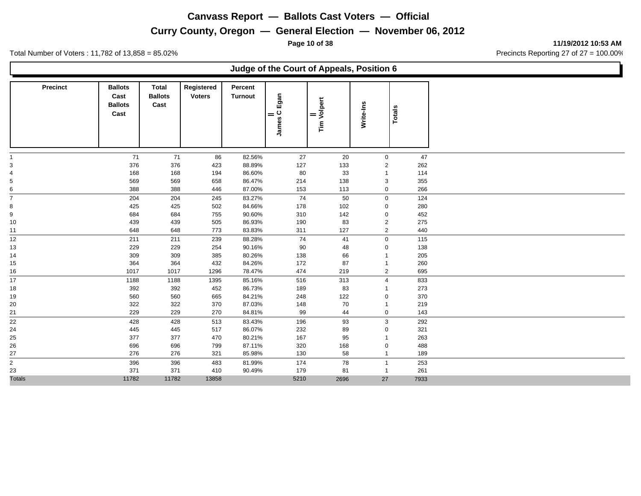**Curry County, Oregon — General Election — November 06, 2012**

Total Number of Voters : 11,782 of 13,858 = 85.02% Precincts Reporting 27 of 27 = 100.00%

|                     |                                                  |                                        |                             |                           |                        | Judge of the Court of Appeals, Position 6 |                               |               |             |
|---------------------|--------------------------------------------------|----------------------------------------|-----------------------------|---------------------------|------------------------|-------------------------------------------|-------------------------------|---------------|-------------|
| <b>Precinct</b>     | <b>Ballots</b><br>Cast<br><b>Ballots</b><br>Cast | <b>Total</b><br><b>Ballots</b><br>Cast | Registered<br><b>Voters</b> | Percent<br><b>Turnout</b> | Egan<br> <br>  James C | <b>Tim Volpert</b><br>$=$                 | Write-Ins                     | <b>Totals</b> |             |
|                     | 71                                               | 71                                     |                             | 82.56%                    | 27                     |                                           |                               |               | 47          |
|                     | 376                                              | 376                                    | 86<br>423                   | 88.89%                    | 127                    | 20<br>133                                 | $\mathbf 0$<br>$\overline{2}$ |               | 262         |
|                     | 168                                              | 168                                    | 194                         | 86.60%                    | 80                     | 33                                        | $\overline{1}$                |               | 114         |
|                     | 569                                              | 569                                    | 658                         | 86.47%                    | 214                    | 138                                       | 3                             |               | 355         |
| 6                   | 388                                              | 388                                    | 446                         | 87.00%                    | 153                    | 113                                       | $\mathbf 0$                   |               | 266         |
|                     | 204                                              | 204                                    | 245                         | 83.27%                    | 74                     | 50                                        | $\mathbf 0$                   |               | 124         |
| 8                   | 425                                              | 425                                    | 502                         | 84.66%                    | 178                    | 102                                       | $\mathbf 0$                   |               | 280         |
| 9                   | 684                                              | 684                                    | 755                         | 90.60%                    | 310                    | 142                                       | $\mathbf 0$                   |               | 452         |
| 10                  | 439                                              | 439                                    | 505                         | 86.93%                    | 190                    | 83                                        | $\overline{c}$                |               | 275         |
| 11                  | 648                                              | 648                                    | 773                         | 83.83%                    | 311                    | 127                                       | $\overline{2}$                |               | 440         |
| 12                  | 211                                              | 211                                    | 239                         | 88.28%                    | 74                     | 41                                        | $\mathbf 0$                   |               | 115         |
| 13                  | 229                                              | 229                                    | 254                         | 90.16%                    | 90                     | 48                                        | $\Omega$                      |               | 138         |
| 14                  | 309                                              | 309                                    | 385                         | 80.26%                    | 138                    | 66                                        |                               |               | 205         |
| 15                  | 364                                              | 364                                    | 432                         | 84.26%                    | 172                    | 87                                        | -1                            |               | 260         |
| 16                  | 1017                                             | 1017                                   | 1296                        | 78.47%                    | 474                    | 219                                       | 2                             |               | 695         |
| 17                  | 1188                                             | 1188                                   | 1395                        | 85.16%                    | 516                    | 313                                       | $\overline{4}$                |               | 833         |
| 18                  | 392                                              | 392                                    | 452                         | 86.73%                    | 189                    | 83                                        | -1                            |               | 273         |
| 19                  | 560                                              | 560                                    | 665                         | 84.21%                    | 248                    | $122$                                     | $\mathbf 0$                   |               | 370         |
| 20                  | 322                                              | 322                                    | 370                         | 87.03%                    | 148                    | 70                                        | $\overline{1}$                |               | 219         |
| 21                  | 229                                              | 229                                    | 270                         | 84.81%                    | 99                     | 44                                        | $\mathbf 0$                   |               | 143         |
| 22                  | 428                                              | 428                                    | 513                         | 83.43%                    | 196                    | 93                                        | 3                             |               | 292         |
| 24                  | 445                                              | 445                                    | 517                         | 86.07%                    | 232                    | 89                                        | 0                             |               | 321         |
| 25                  | 377                                              | 377                                    | 470                         | 80.21%                    | 167                    | 95                                        | $\mathbf{1}$                  |               | 263         |
| 26                  | 696                                              | 696                                    | 799                         | 87.11%                    | 320                    | 168                                       | 0                             |               | 488         |
| 27                  | 276                                              | 276                                    | 321                         | 85.98%                    | 130                    | 58                                        | $\mathbf{1}$                  |               | 189         |
| $\overline{2}$      | 396                                              | 396                                    | 483                         | 81.99%                    | 174                    | 78                                        | $\mathbf{1}$                  |               | 253         |
| 23<br><b>Totals</b> | 371<br>11782                                     | 371<br>11782                           | 410<br>13858                | 90.49%                    | 179<br>5210            | 81<br>2696                                | $\mathbf{1}$<br>27            |               | 261<br>7933 |

**Page 10 of 38 11/19/2012 10:53 AM**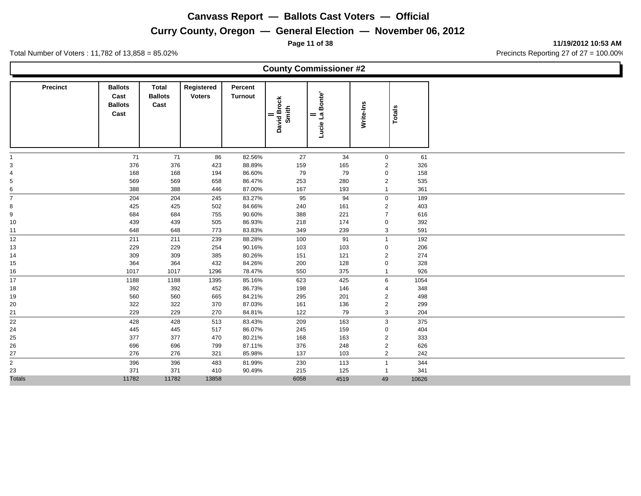**Curry County, Oregon — General Election — November 06, 2012**

**Page 11 of 38 11/19/2012 10:53 AM**

Total Number of Voters : 11,782 of 13,858 = 85.02% Precincts Reporting 27 of 27 = 100.00%

**County Commissioner #2 Precinct Ballots Cast Ballots Cast Total Registered Ballots Cast Turnout Percent Turnout**<br>  $\begin{array}{r|l}\n\hline\n\text{Hence} \\
\text{Simplify} \\
\hline\n\text{Lude} & \text{Lude} \\
\hline\n\text{Lude} & \text{Lelle} \\
\hline\n\end{array}$  71 71 86 82.56% 27 34 0 61 376 376 423 88.89% 159 165 2 326 168 168 194 86.60% 79 79 0 158 569 569 658 86.47% 253 280 2 535 388 388 446 87.00% 167 193 1 361 204 204 245 83.27% 95 94 0 189 425 425 502 84.66% 240 161 2 403 684 684 755 90.60% 388 221 7 616 439 439 505 86.93% 218 174 0 392 648 648 773 83.83% 349 239 3 591 211 211 239 88.28% 100 91 1 192 229 229 254 90.16% 103 103 0 206 309 309 385 80.26% 151 121 2 274 364 364 432 84.26% 200 128 0 328 1017 1017 1296 78.47% 550 375 1 926 1188 1188 1395 85.16% 623 425 6 1054 392 392 452 86.73% 198 146 4 348 560 560 665 84.21% 295 201 2 498 322 322 370 87.03% 161 136 2 299 229 229 270 84.81% 122 79 3 204 428 428 513 83.43% 209 163 3 375 445 445 517 86.07% 245 159 0 404 377 377 470 80.21% 168 163 2 333 696 696 799 87.11% 376 248 2 626 276 276 321 85.98% 137 103 2 242 396 396 483 81.99% 230 113 1 344 371 371 410 90.49% 215 125 1 341 Totals 11782 11782 13858 6058 4519 49 10626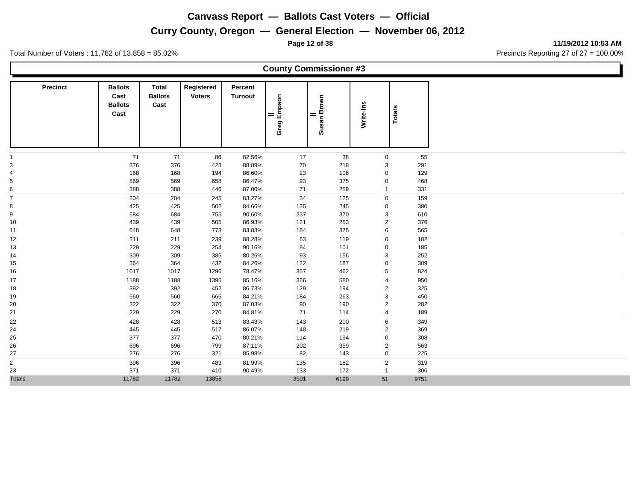#### **Curry County, Oregon — General Election — November 06, 2012**

**Page 12 of 38 11/19/2012 10:53 AM**

Total Number of Voters : 11,782 of 13,858 = 85.02% Precincts Reporting 27 of 27 = 100.00%

**County Commissioner #3 Precinct Ballots Cast Ballots Cast Total Registered Ballots Cast Voters Turnout Percent The Second Second Second Brown<br>
<b>Totals**<br>
Susan Brown<br>
Write-Ins<br>
Totals 71 71 86 82.56% 17 38 0 55 376 376 423 88.89% 70 218 3 291 168 168 194 86.60% 23 106 0 129 569 569 658 86.47% 93 375 0 468 388 388 446 87.00% 71 259 1 331 204 204 245 83.27% 34 125 0 159 425 425 502 84.66% 135 245 0 380 684 684 755 90.60% 237 370 3 610 439 439 505 86.93% 121 253 2 376 648 648 773 83.83% 184 375 6 565 211 211 239 88.28% 63 119 0 182 229 229 254 90.16% 84 101 0 185 309 309 385 80.26% 93 156 3 252 364 364 432 84.26% 122 187 0 309 1017 1017 1296 78.47% 357 462 5 824 1188 1188 1395 85.16% 366 580 4 950 392 392 452 86.73% 129 194 2 325 560 560 665 84.21% 184 263 3 450 322 322 370 87.03% 90 190 2 282 229 229 270 84.81% 71 114 4 189 428 428 513 83.43% 143 200 6 349 445 445 517 86.07% 148 219 2 369 377 377 470 80.21% 114 194 0 308 696 696 799 87.11% 202 359 2 563 276 276 321 85.98% 82 143 0 225 396 396 483 81.99% 135 182 2 319 371 371 410 90.49% 133 172 1 306 Totals 11782 11782 13858 3501 6199 51 9751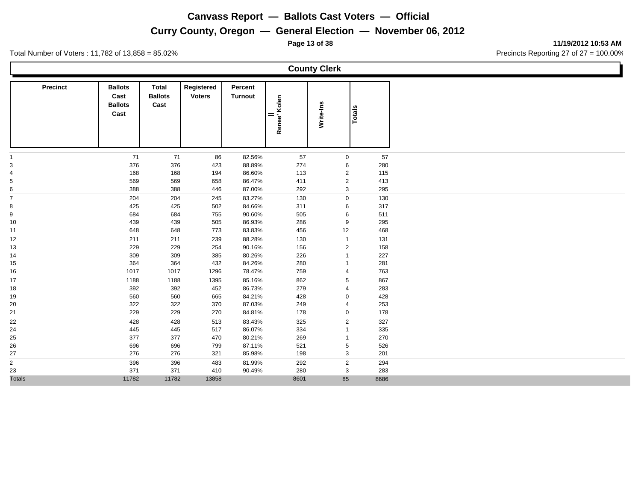## **Curry County, Oregon — General Election — November 06, 2012**

**Page 13 of 38 11/19/2012 10:53 AM**

Total Number of Voters : 11,782 of 13,858 = 85.02% Precincts Reporting 27 of 27 = 100.00%

**County Clerk**

| <b>Precinct</b>              | <b>Ballots</b><br>Cast<br><b>Ballots</b><br>Cast | <b>Total</b><br><b>Ballots</b><br>Cast | Registered<br><b>Voters</b> | Percent<br><b>Turnout</b> | Renee' Kolen<br>$=$ | Write-Ins               | <b>Totals</b> |
|------------------------------|--------------------------------------------------|----------------------------------------|-----------------------------|---------------------------|---------------------|-------------------------|---------------|
|                              | 71                                               | 71                                     | 86                          | 82.56%                    | 57                  | $\mathbf 0$             | 57            |
| $\ensuremath{\mathsf{3}}$    | 376                                              | 376                                    | 423                         | 88.89%                    | 274                 | 6                       | 280           |
| $\overline{4}$               | 168                                              | 168                                    | 194                         | 86.60%                    | 113                 | $\overline{2}$          | 115           |
| 5                            | 569                                              | 569                                    | 658                         | 86.47%                    | 411                 | $\overline{2}$          | 413           |
| 6<br>-                       | 388                                              | 388                                    | 446                         | 87.00%                    | 292                 | 3                       | 295           |
| $\overline{7}$               | 204                                              | 204                                    | 245                         | 83.27%                    | 130                 | $\mathbf 0$             | 130           |
| 8                            | 425                                              | 425                                    | 502                         | 84.66%                    | 311                 | 6                       | 317           |
| 9                            | 684                                              | 684                                    | 755                         | 90.60%                    | 505                 | 6                       | 511           |
| 10                           | 439                                              | 439                                    | 505                         | 86.93%                    | 286                 | 9                       | 295           |
| 11                           | 648                                              | 648                                    | 773                         | 83.83%                    | 456                 | 12                      | 468           |
| 12                           | 211                                              | 211                                    | 239                         | 88.28%                    | 130                 | $\mathbf{1}$            | 131           |
| 13                           | 229                                              | 229                                    | 254                         | 90.16%                    | 156                 | $\overline{2}$          | 158           |
| 14                           | 309                                              | 309                                    | 385                         | 80.26%                    | 226                 | $\overline{\mathbf{1}}$ | 227           |
| 15                           | 364                                              | 364                                    | 432                         | 84.26%                    | 280                 | -1                      | 281           |
| 16                           | 1017                                             | 1017                                   | 1296                        | 78.47%                    | 759                 | 4                       | 763           |
| 17                           | 1188                                             | 1188                                   | 1395                        | 85.16%                    | 862                 | 5                       | 867           |
| 18                           | 392                                              | 392                                    | 452                         | 86.73%                    | 279                 | $\overline{4}$          | 283           |
| 19                           | 560                                              | 560                                    | 665                         | 84.21%                    | 428                 | $\mathbf 0$             | 428           |
| 20                           | 322                                              | 322                                    | 370                         | 87.03%                    | 249                 | $\overline{4}$          | 253           |
| 21                           | 229                                              | 229                                    | 270                         | 84.81%                    | 178                 | 0                       | 178           |
| 22                           | 428                                              | 428                                    | 513                         | 83.43%                    | 325                 | $\overline{2}$          | 327           |
| 24                           | 445                                              | 445                                    | 517                         | 86.07%                    | 334                 | $\overline{\mathbf{1}}$ | 335           |
| 25                           | 377                                              | 377                                    | 470                         | 80.21%                    | 269                 | -1                      | 270           |
| 26                           | 696                                              | 696                                    | 799                         | 87.11%                    | 521                 | 5                       | 526           |
| 27                           | 276                                              | 276                                    | 321                         | 85.98%                    | 198                 | 3                       | 201           |
| -<br>$\overline{\mathbf{c}}$ | 396                                              | 396                                    | 483                         | 81.99%                    | 292                 | 2                       | 294           |
| 23                           | 371                                              | 371                                    | 410                         | 90.49%                    | 280                 | 3                       | 283           |
| <b>Totals</b>                | 11782                                            | 11782                                  | 13858                       |                           | 8601                | 85                      | 8686          |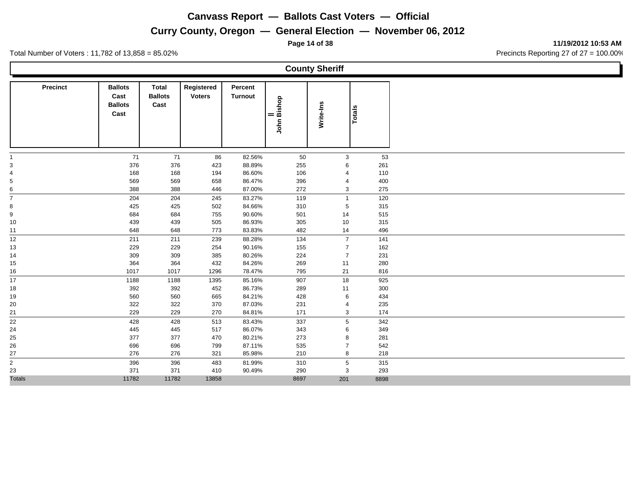#### **Curry County, Oregon — General Election — November 06, 2012**

**Page 14 of 38 11/19/2012 10:53 AM**

Total Number of Voters : 11,782 of 13,858 = 85.02% Precincts Reporting 27 of 27 = 100.00%

**County Sheriff Precinct Ballots Cast Ballots Cast Total Registered Ballots Cast Voters Turnout Percent Totals || John Bishop Write-Ins** 71 71 86 82.56% 50 3 53 376 376 423 88.89% 255 6 261 168 168 194 86.60% 106 4 110 569 569 658 86.47% 396 4 400 388 388 446 87.00% 272 3 275 204 204 245 83.27% 119 1 120 8 502 84.66% 310 5 315 684 684 755 90.60% 501 14 515 439 439 505 86.93% 305 10 315 648 648 773 83.83% 482 14 496 211 211 239 88.28% 134 7 141 229 229 254 90.16% 155 7 162 309 309 385 80.26% 224 7 231 364 364 432 84.26% 269 11 280 1017 1017 1296 78.47% 795 21 816 1188 1188 1395 85.16% 907 18 925 392 392 452 86.73% 289 11 300 560 560 665 84.21% 428 6 434 322 322 370 87.03% 231 4 235 229 229 270 84.81% 171 3 174 428 428 513 83.43% 337 5 342 445 445 517 86.07% 343 6 349 377 377 470 80.21% 273 8 281 696 696 799 87.11% 535 7 542 276 276 321 85.98% 210 8 218 396 396 483 81.99% 310 5 315 371 371 410 90.49% 290 3 293 Totals 11782 11782 13858 8697 201 8898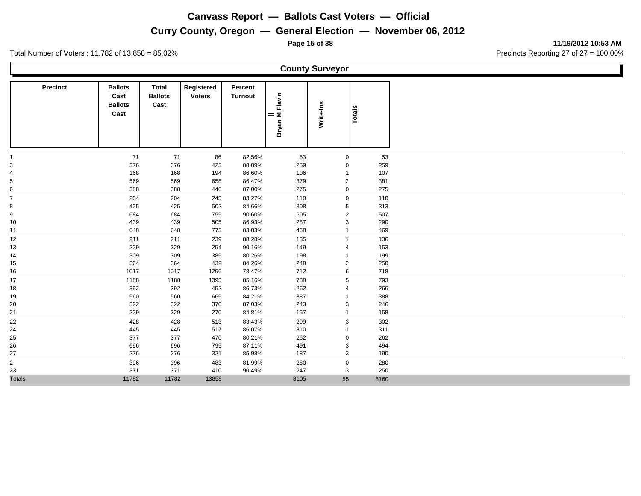## **Curry County, Oregon — General Election — November 06, 2012**

Total Number of Voters : 11,782 of 13,858 = 85.02% Precincts Reporting 27 of 27 = 100.00%

|                         |                                                  |                                        |                             |                           |                    | <b>County Surveyor</b> |        |  |
|-------------------------|--------------------------------------------------|----------------------------------------|-----------------------------|---------------------------|--------------------|------------------------|--------|--|
| <b>Precinct</b>         | <b>Ballots</b><br>Cast<br><b>Ballots</b><br>Cast | <b>Total</b><br><b>Ballots</b><br>Cast | Registered<br><b>Voters</b> | Percent<br><b>Turnout</b> | <br>Bryan M Flavin | Write-Ins              | Totals |  |
|                         | $71$                                             |                                        |                             | 82.56%                    |                    | $\mathbf 0$            | 53     |  |
|                         | 376                                              | 71<br>376                              | 86<br>423                   | 88.89%                    | 53<br>259          | $\mathbf 0$            | 259    |  |
|                         | 168                                              | 168                                    | 194                         | 86.60%                    | 106                | 1                      | 107    |  |
|                         | 569                                              | 569                                    | 658                         | 86.47%                    | 379                | $\overline{2}$         | 381    |  |
| 6                       | 388                                              | 388                                    | 446                         | 87.00%                    | 275                | $\mathbf 0$            | 275    |  |
| 7                       | 204                                              | 204                                    | 245                         | 83.27%                    | 110                | $\mathbf 0$            | 110    |  |
| 8                       | 425                                              | 425                                    | 502                         | 84.66%                    | 308                | 5                      | 313    |  |
| 9                       | 684                                              | 684                                    | 755                         | 90.60%                    | 505                | $\overline{2}$         | 507    |  |
| 10                      | 439                                              | 439                                    | 505                         | 86.93%                    | 287                | 3                      | 290    |  |
| 11                      | 648                                              | 648                                    | 773                         | 83.83%                    | 468                | 1                      | 469    |  |
| 12 <sup>°</sup>         | 211                                              | 211                                    | 239                         | 88.28%                    | 135                | $\mathbf{1}$           | 136    |  |
| 13                      | 229                                              | 229                                    | 254                         | 90.16%                    | 149                | 4                      | 153    |  |
| 14                      | 309                                              | 309                                    | 385                         | 80.26%                    | 198                | 1                      | 199    |  |
| 15                      | 364                                              | 364                                    | 432                         | 84.26%                    | 248                | $\overline{c}$         | 250    |  |
| 16                      | 1017                                             | 1017                                   | 1296                        | 78.47%                    | 712                | 6                      | 718    |  |
| 17                      | 1188                                             | 1188                                   | 1395                        | 85.16%                    | 788                | 5                      | 793    |  |
| 18                      | 392                                              | 392                                    | 452                         | 86.73%                    | 262                | 4                      | 266    |  |
| 19                      | 560                                              | 560                                    | 665                         | 84.21%                    | 387                | 1                      | 388    |  |
| 20                      | 322                                              | 322                                    | 370                         | 87.03%                    | 243                | 3                      | 246    |  |
| 21                      | 229                                              | 229                                    | 270                         | 84.81%                    | 157                | $\mathbf{1}$           | 158    |  |
| 22                      | 428                                              | 428                                    | 513                         | 83.43%                    | 299                | $\mathsf 3$            | 302    |  |
| 24                      | 445                                              | 445                                    | 517                         | 86.07%                    | 310                | 1                      | 311    |  |
| 25                      | 377                                              | 377                                    | 470                         | 80.21%                    | 262                | 0                      | 262    |  |
| 26                      | 696                                              | 696                                    | 799                         | 87.11%                    | 491                | 3                      | 494    |  |
| 27                      | 276                                              | 276                                    | 321                         | 85.98%                    | 187                | 3                      | 190    |  |
| $\overline{\mathbf{c}}$ | 396                                              | 396                                    | 483                         | 81.99%                    | 280                | $\mathbf 0$            | 280    |  |
| 23                      | 371                                              | 371                                    | 410                         | 90.49%                    | 247                | 3                      | 250    |  |
| <b>Totals</b>           | 11782                                            | 11782                                  | 13858                       |                           | 8105               | 55                     | 8160   |  |

**Page 15 of 38 11/19/2012 10:53 AM**

Ъ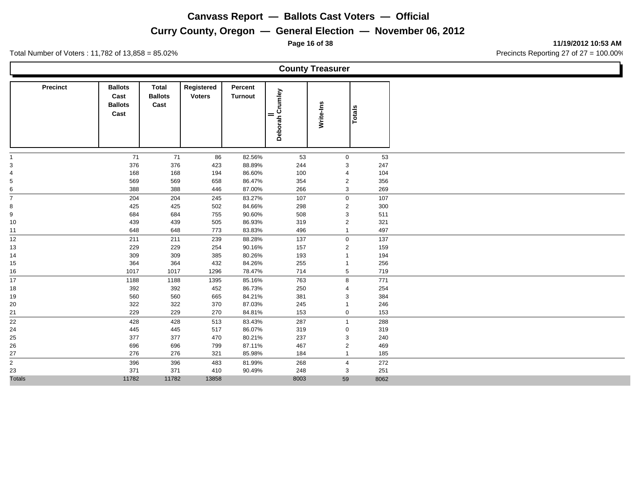## **Curry County, Oregon — General Election — November 06, 2012**

**Page 16 of 38 11/19/2012 10:53 AM**

|                         |                                                  |                                        |                             |                           |                 | <b>County Treasurer</b> |           |  |
|-------------------------|--------------------------------------------------|----------------------------------------|-----------------------------|---------------------------|-----------------|-------------------------|-----------|--|
| <b>Precinct</b>         | <b>Ballots</b><br>Cast<br><b>Ballots</b><br>Cast | <b>Total</b><br><b>Ballots</b><br>Cast | Registered<br><b>Voters</b> | Percent<br><b>Turnout</b> | Deborah Crumley | Write-Ins               | Totals    |  |
|                         |                                                  |                                        |                             |                           |                 |                         |           |  |
|                         | 71<br>376                                        | 71<br>376                              | 86<br>423                   | 82.56%<br>88.89%          | 53<br>244       | $\mathbf 0$<br>3        | 53<br>247 |  |
|                         | 168                                              | 168                                    | 194                         | 86.60%                    | 100             | 4                       | 104       |  |
|                         | 569                                              | 569                                    | 658                         | 86.47%                    | 354             | $\overline{2}$          | 356       |  |
| 6                       | 388                                              | 388                                    | 446                         | 87.00%                    | 266             | 3                       | 269       |  |
| $\overline{ }$          | 204                                              | 204                                    | 245                         | 83.27%                    | 107             | $\mathbf 0$             | 107       |  |
| 8                       | 425                                              | 425                                    | 502                         | 84.66%                    | 298             | $\overline{2}$          | 300       |  |
| 9                       | 684                                              | 684                                    | 755                         | 90.60%                    | 508             | 3                       | 511       |  |
| 10                      | 439                                              | 439                                    | 505                         | 86.93%                    | 319             | $\overline{c}$          | 321       |  |
| 11                      | 648                                              | 648                                    | 773                         | 83.83%                    | 496             | $\mathbf{1}$            | 497       |  |
| 12                      | 211                                              | 211                                    | 239                         | 88.28%                    | 137             | $\mathbf 0$             | 137       |  |
| 13                      | 229                                              | 229                                    | 254                         | 90.16%                    | 157             | $\overline{2}$          | 159       |  |
| 14                      | 309                                              | 309                                    | 385                         | 80.26%                    | 193             | 1                       | 194       |  |
| 15                      | 364                                              | 364                                    | 432                         | 84.26%                    | 255             | $\mathbf{1}$            | 256       |  |
| 16                      | 1017                                             | 1017                                   | 1296                        | 78.47%                    | 714             | 5                       | 719       |  |
| 17                      | 1188                                             | 1188                                   | 1395                        | 85.16%                    | 763             | 8                       | 771       |  |
| 18                      | 392                                              | 392                                    | 452                         | 86.73%                    | 250             | 4                       | 254       |  |
| 19                      | 560                                              | 560                                    | 665                         | 84.21%                    | 381             | 3                       | 384       |  |
| 20                      | 322                                              | 322                                    | 370                         | 87.03%                    | 245             | 1                       | 246       |  |
| 21                      | 229                                              | 229                                    | 270                         | 84.81%                    | 153             | $\mathbf 0$             | 153       |  |
| 22                      | 428                                              | 428                                    | 513                         | 83.43%                    | 287             | $\mathbf{1}$            | 288       |  |
| 24                      | 445                                              | 445                                    | 517                         | 86.07%                    | 319             | $\mathbf 0$             | 319       |  |
| 25                      | 377                                              | 377                                    | 470                         | 80.21%                    | 237             | 3                       | 240       |  |
| 26                      | 696                                              | 696                                    | 799                         | 87.11%                    | 467             | $\overline{c}$          | 469       |  |
| 27                      | 276                                              | 276                                    | 321                         | 85.98%                    | 184             | $\mathbf{1}$            | 185       |  |
| $\overline{\mathbf{c}}$ | 396                                              | 396                                    | 483                         | 81.99%                    | 268             | $\overline{4}$          | 272       |  |
| 23                      | 371                                              | 371                                    | 410                         | 90.49%                    | 248             | 3                       | 251       |  |
| <b>Totals</b>           | 11782                                            | 11782                                  | 13858                       |                           | 8003            | 59                      | 8062      |  |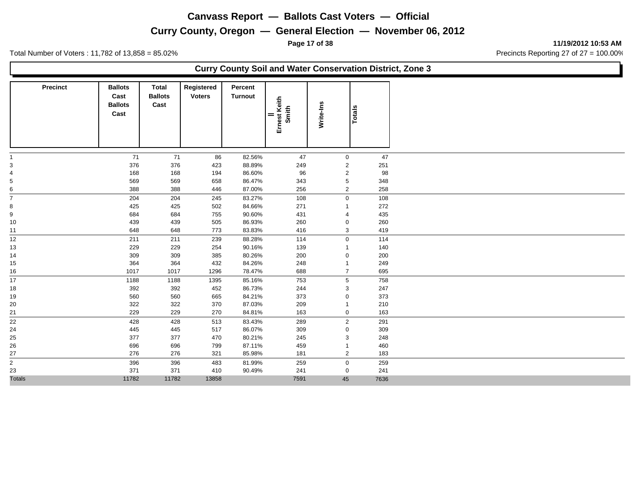**Page 17 of 38 11/19/2012 10:53 AM**

Total Number of Voters : 11,782 of 13,858 = 85.02% Precincts Reporting 27 of 27 = 100.00%

#### **Curry County Soil and Water Conservation District, Zone 3**

| <b>Precinct</b> | <b>Ballots</b><br>Cast<br><b>Ballots</b><br>Cast | <b>Total</b><br><b>Ballots</b><br>Cast | Registered<br><b>Voters</b> | Percent<br><b>Turnout</b> | <br>Ernest Keith<br>Smith | Write-Ins      | Totals |      |
|-----------------|--------------------------------------------------|----------------------------------------|-----------------------------|---------------------------|---------------------------|----------------|--------|------|
|                 | 71                                               | 71                                     | 86                          | 82.56%                    | 47                        | $\mathbf{0}$   |        | 47   |
| 3               | 376                                              | 376                                    | 423                         | 88.89%                    | 249                       | $\overline{2}$ |        | 251  |
| 4               | 168                                              | 168                                    | 194                         | 86.60%                    | 96                        | $\overline{2}$ |        | 98   |
| 5               | 569                                              | 569                                    | 658                         | 86.47%                    | 343                       | 5              |        | 348  |
| 6               | 388                                              | 388                                    | 446                         | 87.00%                    | 256                       | $\overline{2}$ |        | 258  |
| $\overline{7}$  | 204                                              | 204                                    | 245                         | 83.27%                    | 108                       | $\mathbf 0$    |        | 108  |
| 8               | 425                                              | 425                                    | 502                         | 84.66%                    | 271                       | -1             |        | 272  |
| 9               | 684                                              | 684                                    | 755                         | 90.60%                    | 431                       | $\overline{4}$ |        | 435  |
| 10              | 439                                              | 439                                    | 505                         | 86.93%                    | 260                       | $\mathbf 0$    |        | 260  |
| 11              | 648                                              | 648                                    | 773                         | 83.83%                    | 416                       | 3              |        | 419  |
| 12              | 211                                              | 211                                    | 239                         | 88.28%                    | 114                       | $\mathbf 0$    |        | 114  |
| 13              | 229                                              | 229                                    | 254                         | 90.16%                    | 139                       | -1             |        | 140  |
| 14              | 309                                              | 309                                    | 385                         | 80.26%                    | 200                       | 0              |        | 200  |
| 15              | 364                                              | 364                                    | 432                         | 84.26%                    | 248                       | $\overline{1}$ |        | 249  |
| 16              | 1017                                             | 1017                                   | 1296                        | 78.47%                    | 688                       | $\overline{7}$ |        | 695  |
| 17              | 1188                                             | 1188                                   | 1395                        | 85.16%                    | 753                       | 5              |        | 758  |
| 18              | 392                                              | 392                                    | 452                         | 86.73%                    | 244                       | 3              |        | 247  |
| 19              | 560                                              | 560                                    | 665                         | 84.21%                    | 373                       | $\mathbf 0$    |        | 373  |
| 20              | 322                                              | 322                                    | 370                         | 87.03%                    | 209                       | -1             |        | 210  |
| 21              | 229                                              | 229                                    | 270                         | 84.81%                    | 163                       | $\mathbf 0$    |        | 163  |
| 22              | 428                                              | 428                                    | 513                         | 83.43%                    | 289                       | $\overline{2}$ |        | 291  |
| 24              | 445                                              | 445                                    | 517                         | 86.07%                    | 309                       | $\mathbf 0$    |        | 309  |
| 25              | 377                                              | 377                                    | 470                         | 80.21%                    | 245                       | 3              |        | 248  |
| 26              | 696                                              | 696                                    | 799                         | 87.11%                    | 459                       | -1             |        | 460  |
| 27              | 276                                              | 276                                    | 321                         | 85.98%                    | 181                       | $\overline{2}$ |        | 183  |
| $\overline{2}$  | 396                                              | 396                                    | 483                         | 81.99%                    | 259                       | $\mathbf 0$    |        | 259  |
| 23              | 371                                              | 371                                    | 410                         | 90.49%                    | 241                       | $\mathbf 0$    |        | 241  |
| <b>Totals</b>   | 11782                                            | 11782                                  | 13858                       |                           | 7591                      | 45             |        | 7636 |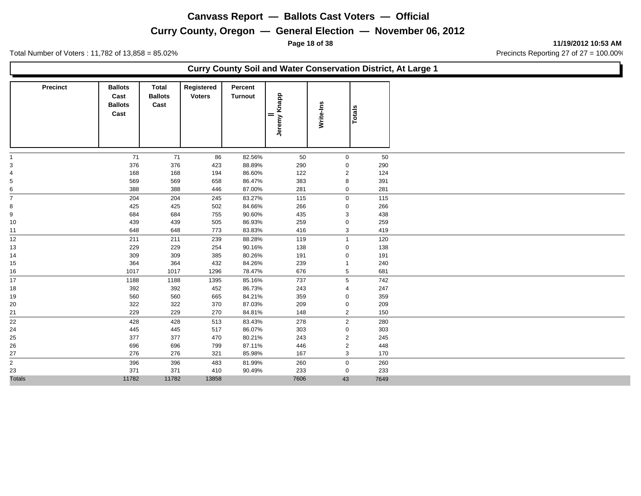**Page 18 of 38 11/19/2012 10:53 AM**

Total Number of Voters : 11,782 of 13,858 = 85.02% Precincts Reporting 27 of 27 = 100.00%

#### **Curry County Soil and Water Conservation District, At Large 1**

| <b>Precinct</b>                                     | <b>Ballots</b><br>Cast<br><b>Ballots</b><br>Cast | <b>Total</b><br><b>Ballots</b><br>Cast | Registered<br><b>Voters</b> | Percent<br><b>Turnout</b> | Jeremy Knapp<br>$=$ | Write-Ins      | <b>Totals</b> |
|-----------------------------------------------------|--------------------------------------------------|----------------------------------------|-----------------------------|---------------------------|---------------------|----------------|---------------|
|                                                     | 71                                               | 71                                     | 86                          | 82.56%                    | 50                  | $\mathbf 0$    | 50            |
| 3                                                   | 376                                              | 376                                    | 423                         | 88.89%                    | 290                 | $\mathbf 0$    | 290           |
| 4                                                   | 168                                              | 168                                    | 194                         | 86.60%                    | 122                 | $\overline{2}$ | 124           |
| 5                                                   | 569                                              | 569                                    | 658                         | 86.47%                    | 383                 | 8              | 391           |
| 6<br>-                                              | 388                                              | 388                                    | 446                         | 87.00%                    | 281                 | $\mathbf 0$    | 281           |
| $\overline{7}$                                      | 204                                              | 204                                    | 245                         | 83.27%                    | 115                 | $\mathbf 0$    | 115           |
| 8                                                   | 425                                              | 425                                    | 502                         | 84.66%                    | 266                 | $\mathbf 0$    | 266           |
| 9                                                   | 684                                              | 684                                    | 755                         | 90.60%                    | 435                 | 3              | 438           |
| 10                                                  | 439                                              | 439                                    | 505                         | 86.93%                    | 259                 | 0              | 259           |
| 11                                                  | 648                                              | 648                                    | 773                         | 83.83%                    | 416                 | 3              | 419           |
| 12                                                  | 211                                              | 211                                    | 239                         | 88.28%                    | 119                 | $\overline{1}$ | 120           |
| 13                                                  | 229                                              | 229                                    | 254                         | 90.16%                    | 138                 | $\mathbf 0$    | 138           |
| 14                                                  | 309                                              | 309                                    | 385                         | 80.26%                    | 191                 | $\mathbf 0$    | 191           |
| 15                                                  | 364                                              | 364                                    | 432                         | 84.26%                    | 239                 | -1             | 240           |
| 16                                                  | 1017                                             | 1017                                   | 1296                        | 78.47%                    | 676                 | 5              | 681           |
| 17                                                  | 1188                                             | 1188                                   | 1395                        | 85.16%                    | 737                 | 5              | 742           |
| 18                                                  | 392                                              | 392                                    | 452                         | 86.73%                    | 243                 | $\overline{4}$ | 247           |
| 19                                                  | 560                                              | 560                                    | 665                         | 84.21%                    | 359                 | $\mathbf 0$    | 359           |
| 20                                                  | 322                                              | 322                                    | 370                         | 87.03%                    | 209                 | $\mathbf 0$    | 209           |
| 21                                                  | 229                                              | 229                                    | 270                         | 84.81%                    | 148                 | $\overline{2}$ | 150           |
| 22                                                  | 428                                              | 428                                    | 513                         | 83.43%                    | 278                 | $\overline{2}$ | 280           |
| 24                                                  | 445                                              | 445                                    | 517                         | 86.07%                    | 303                 | $\mathbf 0$    | 303           |
| 25                                                  | 377                                              | 377                                    | 470                         | 80.21%                    | 243                 | $\overline{2}$ | 245           |
| 26                                                  | 696                                              | 696                                    | 799                         | 87.11%                    | 446                 | $\overline{2}$ | 448           |
| 27                                                  | 276                                              | 276                                    | 321                         | 85.98%                    | 167                 | 3              | 170           |
| $\overline{\phantom{0}}$<br>$\overline{\mathbf{c}}$ | 396                                              | 396                                    | 483                         | 81.99%                    | 260                 | $\mathbf 0$    | 260           |
| 23                                                  | 371                                              | 371                                    | 410                         | 90.49%                    | 233                 | $\mathbf 0$    | 233           |
| <b>Totals</b>                                       | 11782                                            | 11782                                  | 13858                       |                           | 7606                | 43             | 7649          |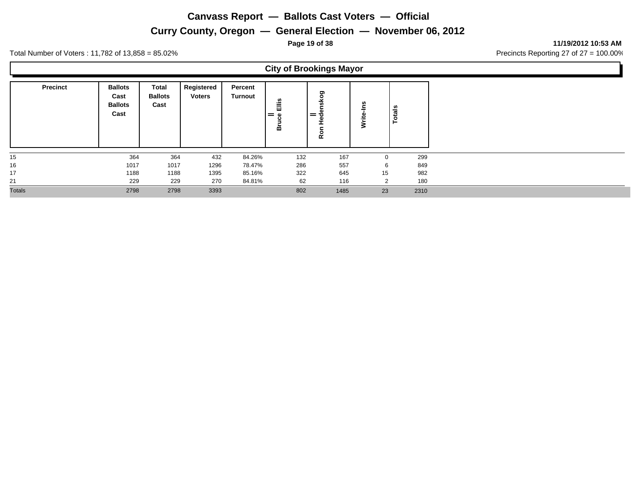## **Curry County, Oregon — General Election — November 06, 2012**

**Page 19 of 38 11/19/2012 10:53 AM**

L.

Total Number of Voters : 11,782 of 13,858 = 85.02% Precincts Reporting 27 of 27 = 100.00%

Н

|                 |                                                  |                                        |                             |                           | <b>City of Brookings Mayor</b> |                                                  |                  |                |      |  |  |  |
|-----------------|--------------------------------------------------|----------------------------------------|-----------------------------|---------------------------|--------------------------------|--------------------------------------------------|------------------|----------------|------|--|--|--|
| <b>Precinct</b> | <b>Ballots</b><br>Cast<br><b>Ballots</b><br>Cast | <b>Total</b><br><b>Ballots</b><br>Cast | Registered<br><b>Voters</b> | Percent<br><b>Turnout</b> | Ëllis<br>ہ =<br>o<br>هٔ        | ರಾ<br>$\circ$<br>$=$ $\ddot{\sigma}$<br><u>ዬ</u> | U)<br>_<br>Write | <b>Totals</b>  |      |  |  |  |
| 15              | 364                                              | 364                                    | 432                         | 84.26%                    | 132                            | 167                                              |                  | $\Omega$       | 299  |  |  |  |
| 16              | 1017                                             | 1017                                   | 1296                        | 78.47%                    | 286                            | 557                                              |                  | 6              | 849  |  |  |  |
| 17              | 1188                                             | 1188                                   | 1395                        | 85.16%                    | 322                            | 645                                              |                  | 15             | 982  |  |  |  |
| 21              | 229                                              | 229                                    | 270                         | 84.81%                    | 62                             | 116                                              |                  | $\overline{2}$ | 180  |  |  |  |
| <b>Totals</b>   | 2798                                             | 2798                                   | 3393                        |                           | 802                            | 1485                                             |                  | 23             | 2310 |  |  |  |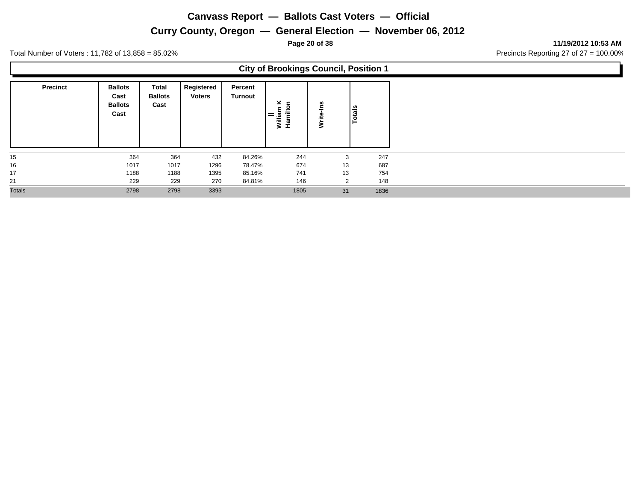## **Curry County, Oregon — General Election — November 06, 2012**

**Page 20 of 38 11/19/2012 10:53 AM**

|                 |                                                  |                                        |                             |                           | <b>City of Brookings Council, Position 1</b> |                |        |
|-----------------|--------------------------------------------------|----------------------------------------|-----------------------------|---------------------------|----------------------------------------------|----------------|--------|
| <b>Precinct</b> | <b>Ballots</b><br>Cast<br><b>Ballots</b><br>Cast | <b>Total</b><br><b>Ballots</b><br>Cast | Registered<br><b>Voters</b> | Percent<br><b>Turnout</b> | ⊻ ⊆<br>William<br>Hamiltc<br>$=$             | <b>S</b><br>⋧  | Totals |
| 15              | 364                                              | 364                                    | 432                         | 84.26%                    | 244                                          | 3              | 247    |
| 16              | 1017                                             | 1017                                   | 1296                        | 78.47%                    | 674                                          | 13             | 687    |
| 17              | 1188                                             | 1188                                   | 1395                        | 85.16%                    | 741                                          | 13             | 754    |
| 21              | 229                                              | 229                                    | 270                         | 84.81%                    | 146                                          | $\overline{2}$ | 148    |
| Totals          | 2798                                             | 2798                                   | 3393                        |                           | 1805                                         | 31             | 1836   |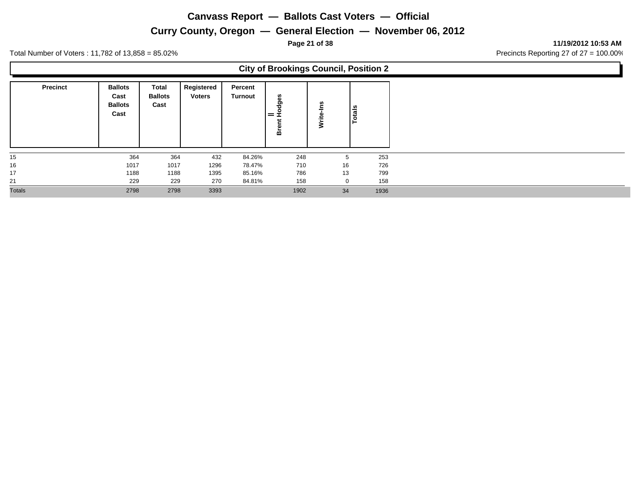## **Curry County, Oregon — General Election — November 06, 2012**

**Page 21 of 38 11/19/2012 10:53 AM**

|                 |                                                  |                                        |                             |                           | <b>City of Brookings Council, Position 2</b> |              |        |
|-----------------|--------------------------------------------------|----------------------------------------|-----------------------------|---------------------------|----------------------------------------------|--------------|--------|
| <b>Precinct</b> | <b>Ballots</b><br>Cast<br><b>Ballots</b><br>Cast | <b>Total</b><br><b>Ballots</b><br>Cast | Registered<br><b>Voters</b> | Percent<br><b>Turnout</b> | dges<br>$=$ $\tilde{t}$<br>Bre               | ဖွ<br>⋧      | Totals |
| 15              | 364                                              | 364                                    | 432                         | 84.26%                    | 248                                          | 5            | 253    |
| 16              | 1017                                             | 1017                                   | 1296                        | 78.47%                    | 710                                          | 16           | 726    |
| 17              | 1188                                             | 1188                                   | 1395                        | 85.16%                    | 786                                          | 13           | 799    |
| 21              | 229                                              | 229                                    | 270                         | 84.81%                    | 158                                          | $\mathbf{0}$ | 158    |
| <b>Totals</b>   | 2798                                             | 2798                                   | 3393                        |                           | 1902                                         | 34           | 1936   |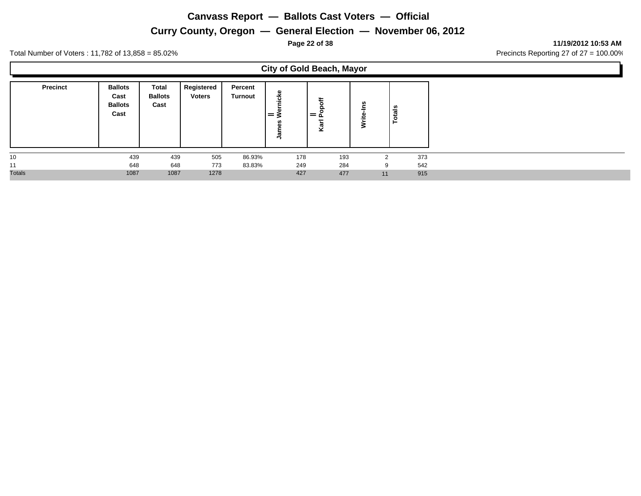## **Curry County, Oregon — General Election — November 06, 2012**

**Page 22 of 38 11/19/2012 10:53 AM**

ι

|                 |                                                  |                                        |                             |                    | <b>City of Gold Beach, Mayor</b>  |          |               |               |     |
|-----------------|--------------------------------------------------|----------------------------------------|-----------------------------|--------------------|-----------------------------------|----------|---------------|---------------|-----|
| <b>Precinct</b> | <b>Ballots</b><br>Cast<br><b>Ballots</b><br>Cast | <b>Total</b><br><b>Ballots</b><br>Cast | Registered<br><b>Voters</b> | Percent<br>Turnout | еkе<br>.=<br>Ξ<br>$=$ $\geq$<br>훀 | = ~<br>⊻ | -ins<br>Write | <b>Totals</b> |     |
| 10              | 439                                              | 439                                    | 505                         | 86.93%             | 178                               | 193      |               | ົ             | 373 |
| 11              | 648                                              | 648                                    | 773                         | 83.83%             | 249                               | 284      |               | 9             | 542 |
| <b>Totals</b>   | 1087                                             | 1087                                   | 1278                        |                    | 427                               | 477      |               | 11            | 915 |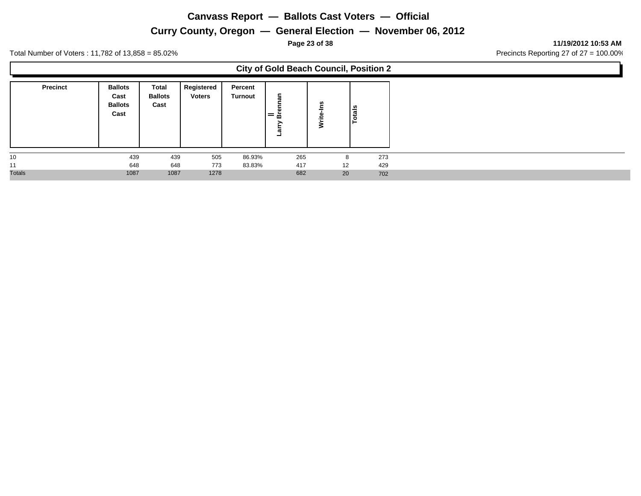## **Curry County, Oregon — General Election — November 06, 2012**

**Page 23 of 38 11/19/2012 10:53 AM**

|                 |                                                  |                                        |                             |                    | <b>City of Gold Beach Council, Position 2</b> |   |    |        |
|-----------------|--------------------------------------------------|----------------------------------------|-----------------------------|--------------------|-----------------------------------------------|---|----|--------|
| <b>Precinct</b> | <b>Ballots</b><br>Cast<br><b>Ballots</b><br>Cast | <b>Total</b><br><b>Ballots</b><br>Cast | Registered<br><b>Voters</b> | Percent<br>Turnout | nan<br>ㅎ<br>æ                                 | s |    | Totals |
| 10              | 439                                              | 439                                    | 505                         | 86.93%             | 265                                           |   | 8  | 273    |
| 11              | 648                                              | 648                                    | 773                         | 83.83%             | 417                                           |   | 12 | 429    |
| <b>Totals</b>   | 1087                                             | 1087                                   | 1278                        |                    | 682                                           |   | 20 | 702    |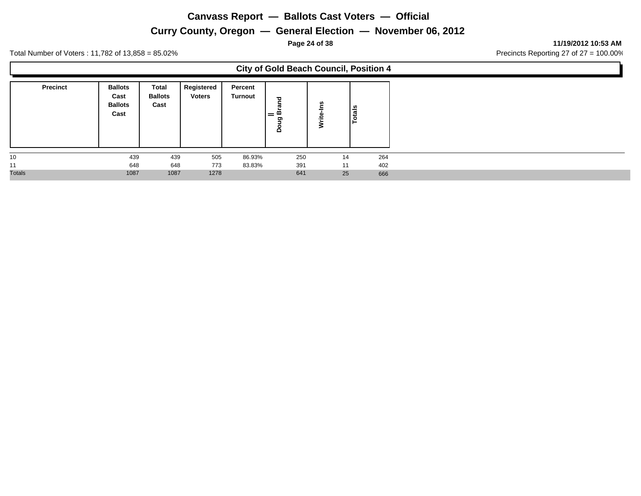## **Curry County, Oregon — General Election — November 06, 2012**

**Page 24 of 38 11/19/2012 10:53 AM**

|                 |                                                  |                                        |                             |                    | <b>City of Gold Beach Council, Position 4</b> |   |    |        |
|-----------------|--------------------------------------------------|----------------------------------------|-----------------------------|--------------------|-----------------------------------------------|---|----|--------|
| <b>Precinct</b> | <b>Ballots</b><br>Cast<br><b>Ballots</b><br>Cast | <b>Total</b><br><b>Ballots</b><br>Cast | Registered<br><b>Voters</b> | Percent<br>Turnout | ᅙ<br>ದ<br>$=$ $^{\circ}$<br>ත<br>$\Omega$     | n |    | Totals |
| 10              | 439                                              | 439                                    | 505                         | 86.93%             | 250                                           |   | 14 | 264    |
| 11              | 648                                              | 648                                    | 773                         | 83.83%             | 391                                           |   | 11 | 402    |
| <b>Totals</b>   | 1087                                             | 1087                                   | 1278                        |                    | 641                                           |   | 25 | 666    |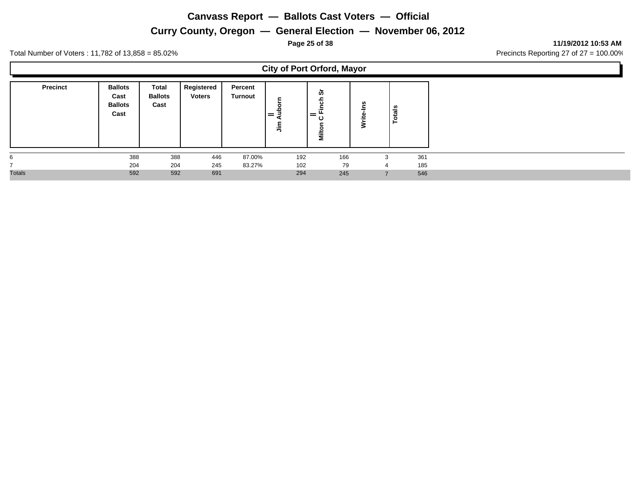## **Curry County, Oregon — General Election — November 06, 2012**

**Page 25 of 38 11/19/2012 10:53 AM**

L,

Total Number of Voters : 11,782 of 13,858 = 85.02% Precincts Reporting 27 of 27 = 100.00%

Н

|                 |                                                  |                                 |                             |                           |                | <b>City of Port Orford, Mayor</b> |             |                |     |
|-----------------|--------------------------------------------------|---------------------------------|-----------------------------|---------------------------|----------------|-----------------------------------|-------------|----------------|-----|
| <b>Precinct</b> | <b>Ballots</b><br>Cast<br><b>Ballots</b><br>Cast | Total<br><b>Ballots</b><br>Cast | Registered<br><b>Voters</b> | Percent<br><b>Turnout</b> | $=$<br>-<br>ءِ | တ<br>ਹਿ<br>$=$<br>ల<br>Nilto      | w<br>≐<br>₹ | <b>Totals</b>  |     |
| 6               | 388                                              | 388                             | 446                         | 87.00%                    | 192            | 166                               |             | 3              | 361 |
|                 | 204                                              | 204                             | 245                         | 83.27%                    | 102            | 79                                |             | $\overline{a}$ | 185 |
| <b>Totals</b>   | 592                                              | 592                             | 691                         |                           | 294            | 245                               |             |                | 546 |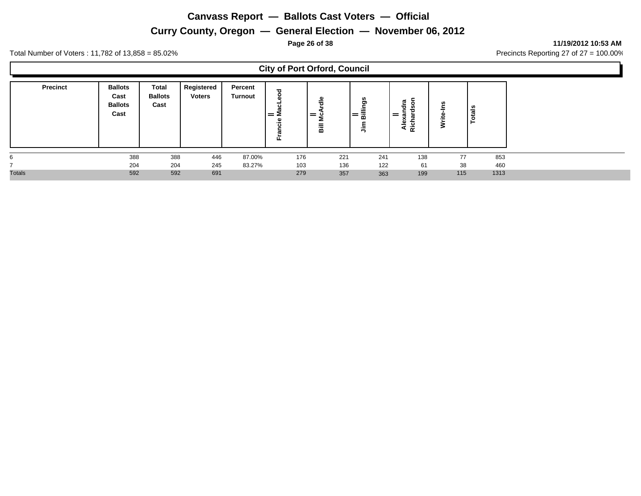## **Curry County, Oregon — General Election — November 06, 2012**

**Page 26 of 38 11/19/2012 10:53 AM**

Ъ

Total Number of Voters : 11,782 of 13,858 = 85.02% Precincts Reporting 27 of 27 = 100.00%

 $\Gamma$ 

|                 |                                                  |                                        |                             |                    | <b>City of Port Orford, Council</b>    |                 |                           |                                                |                         |               |  |
|-----------------|--------------------------------------------------|----------------------------------------|-----------------------------|--------------------|----------------------------------------|-----------------|---------------------------|------------------------------------------------|-------------------------|---------------|--|
| <b>Precinct</b> | <b>Ballots</b><br>Cast<br><b>Ballots</b><br>Cast | <b>Total</b><br><b>Ballots</b><br>Cast | Registered<br><b>Voters</b> | Percent<br>Turnout | ω<br>$=$ $\mathsf{\Sigma}$<br>ہے.<br>正 | ω<br>$=$ 0<br>룲 | anillies<br>Eillings<br>릫 | son<br>a<br>►<br>ರ<br>$=$<br>효<br>ᢐ<br>κc<br>- | <b>S</b><br>=<br>⋍<br>℥ | <b>Totals</b> |  |
|                 | 388<br>204                                       | 388<br>204                             | 446<br>245                  | 87.00%<br>83.27%   | 176<br>103                             | 221<br>136      | 241<br>122                | 138<br>61                                      | 77<br>38                | 853<br>460    |  |
| <b>Totals</b>   | 592                                              | 592                                    | 691                         |                    | 279                                    | 357             | 363                       | 199                                            | 115                     | 1313          |  |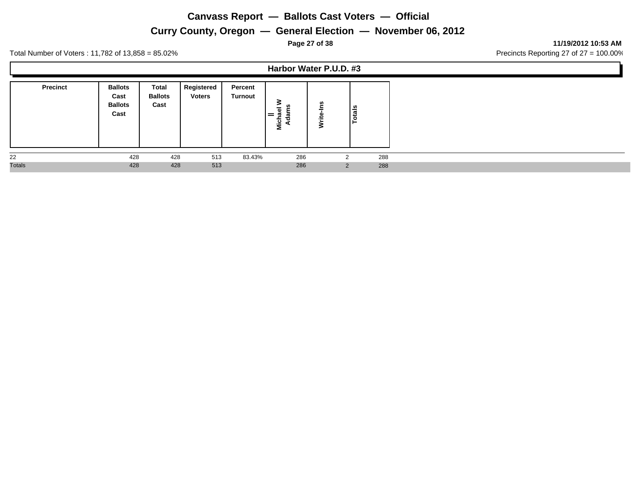**Curry County, Oregon — General Election — November 06, 2012**

**Page 27 of 38 11/19/2012 10:53 AM**

п

Total Number of Voters : 11,782 of 13,858 = 85.02% Precincts Reporting 27 of 27 = 100.00%

**Harbor Water P.U.D. #3**

| <b>Precinct</b> | <b>Ballots</b><br>Cast<br><b>Ballots</b><br>Cast | Total<br><b>Ballots</b><br>Cast | Registered<br><b>Voters</b> | Percent<br><b>Turnout</b> | ž   | u | ឹ<br>ت<br>o |
|-----------------|--------------------------------------------------|---------------------------------|-----------------------------|---------------------------|-----|---|-------------|
| 22              | 428                                              | 428                             | 513                         | 83.43%                    | 286 | ⌒ | 288         |
| <b>Totals</b>   | 428                                              | 428                             | 513                         |                           | 286 | 2 | 288         |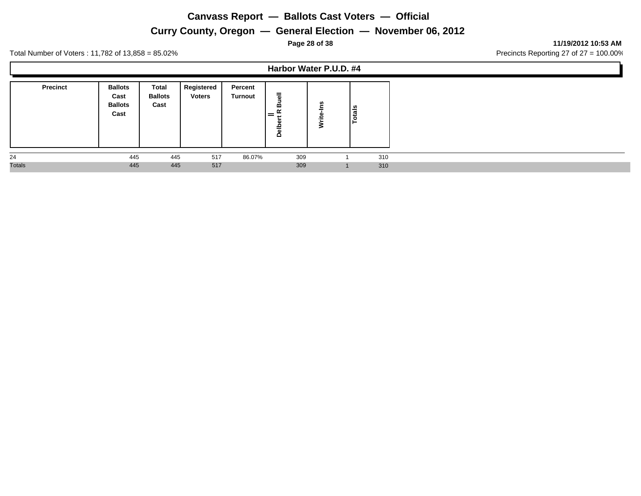**Curry County, Oregon — General Election — November 06, 2012**

**Page 28 of 38 11/19/2012 10:53 AM**

Total Number of Voters : 11,782 of 13,858 = 85.02% Precincts Reporting 27 of 27 = 100.00%

**Harbor Water P.U.D. #4**

| <b>Precinct</b> | <b>Ballots</b><br>Cast<br><b>Ballots</b><br>Cast | Total<br><b>Ballots</b><br>Cast | Registered<br><b>Voters</b> | Percent<br>Turnout | $\overline{9}$<br>≃<br>$\alpha$<br>=<br>Belp | ഗ | otals |     |
|-----------------|--------------------------------------------------|---------------------------------|-----------------------------|--------------------|----------------------------------------------|---|-------|-----|
| 24              | 445                                              | 445                             | 517                         | 86.07%             | 309                                          |   |       | 310 |
| <b>Totals</b>   | 445                                              | 445                             | 517                         |                    | 309                                          |   |       | 310 |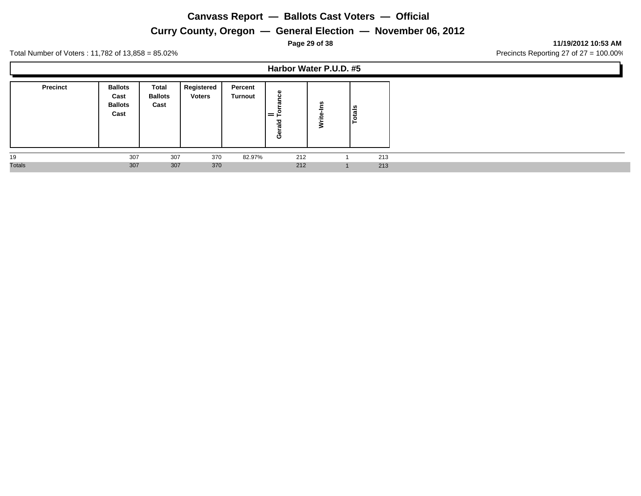**Curry County, Oregon — General Election — November 06, 2012**

**Page 29 of 38 11/19/2012 10:53 AM**

Total Number of Voters : 11,782 of 13,858 = 85.02% Precincts Reporting 27 of 27 = 100.00%

**Harbor Water P.U.D. #5**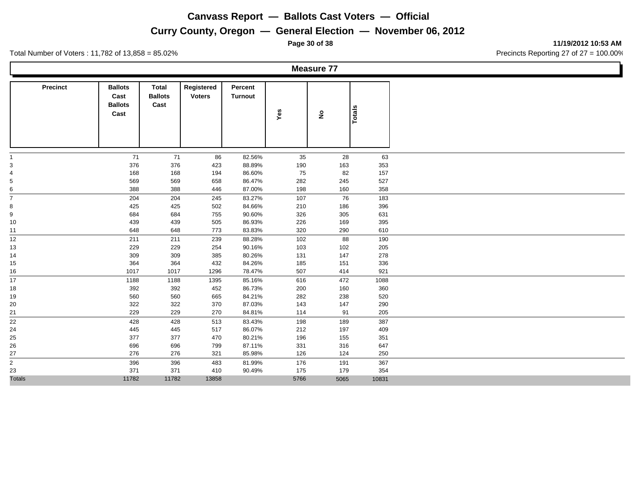## **Curry County, Oregon — General Election — November 06, 2012**

Total Number of Voters : 11,782 of 13,858 = 85.02% Precincts Reporting 27 of 27 = 100.00%

**Measure 77**

| <b>Precinct</b>         | <b>Ballots</b> | Total          | Registered    | Percent        |      |                    |        |
|-------------------------|----------------|----------------|---------------|----------------|------|--------------------|--------|
|                         | Cast           | <b>Ballots</b> | <b>Voters</b> | <b>Turnout</b> |      |                    |        |
|                         | <b>Ballots</b> | Cast           |               |                |      |                    |        |
|                         | Cast           |                |               |                | Yes  | $\hat{\mathbf{z}}$ | Totals |
|                         |                |                |               |                |      |                    |        |
|                         |                |                |               |                |      |                    |        |
|                         |                |                |               |                |      |                    |        |
|                         |                |                |               |                |      |                    |        |
|                         |                |                |               |                |      |                    |        |
| -1                      | 71             | 71             | 86            | 82.56%         | 35   | 28                 | 63     |
| 3                       | 376            | 376            | 423           | 88.89%         | 190  | 163                | 353    |
| $\overline{\mathbf{4}}$ | 168            | 168            | 194           | 86.60%         | 75   | 82                 | 157    |
| 5                       | 569            | 569            | 658           | 86.47%         | 282  | 245                | 527    |
| 6                       | 388            | 388            | 446           | 87.00%         | 198  | 160                | 358    |
| $\overline{7}$          | 204            | 204            | 245           | 83.27%         | 107  | 76                 | 183    |
| 8                       | 425            | 425            | 502           | 84.66%         | 210  | 186                | 396    |
| 9                       | 684            | 684            | 755           | 90.60%         | 326  | 305                | 631    |
| 10                      | 439            | 439            | 505           | 86.93%         | 226  | 169                | 395    |
| 11                      | 648            | 648            | 773           | 83.83%         | 320  | 290                | 610    |
| 12                      | 211            | 211            | 239           | 88.28%         | 102  | 88                 | 190    |
| 13                      | 229            | 229            | 254           | 90.16%         | 103  | 102                | 205    |
| 14                      | 309            | 309            | 385           | 80.26%         | 131  | 147                | 278    |
| 15                      | 364            | 364            | 432           | 84.26%         | 185  | 151                | 336    |
| 16                      | 1017           | 1017           | 1296          | 78.47%         | 507  | 414                | 921    |
| 17                      | 1188           | 1188           | 1395          | 85.16%         | 616  | 472                | 1088   |
| 18                      | 392            | 392            | 452           | 86.73%         | 200  | 160                | 360    |
| 19                      | 560            | 560            | 665           | 84.21%         | 282  | 238                | 520    |
| 20                      | 322            | 322            | 370           | 87.03%         | 143  | 147                | 290    |
| 21                      | 229            | 229            | 270           | 84.81%         | 114  | 91                 | 205    |
| 22                      | 428            | 428            | 513           | 83.43%         | 198  | 189                | 387    |
| 24                      | 445            | 445            | 517           | 86.07%         | 212  | 197                | 409    |
| 25                      | 377            | 377            | 470           | 80.21%         | 196  | 155                | 351    |
| 26                      | 696            | 696            | 799           | 87.11%         | 331  | 316                | 647    |
| 27                      | 276            | 276            | 321           | 85.98%         | 126  | 124                | 250    |
| $\overline{2}$          | 396            | 396            | 483           | 81.99%         | 176  | 191                | 367    |
| 23                      | 371            | 371            | 410           | 90.49%         | 175  | 179                | 354    |
| <b>Totals</b>           | 11782          | 11782          | 13858         |                | 5766 | 5065               |        |
|                         |                |                |               |                |      |                    | 10831  |

**Page 30 of 38 11/19/2012 10:53 AM**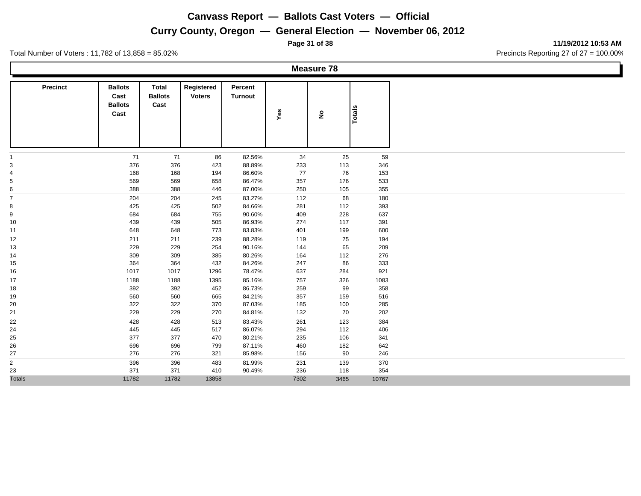## **Curry County, Oregon — General Election — November 06, 2012**

Total Number of Voters : 11,782 of 13,858 = 85.02% Precincts Reporting 27 of 27 = 100.00%

**Measure 78**

| <b>Precinct</b>         | <b>Ballots</b> | <b>Total</b>   | Registered    | Percent        |      |                    |               |
|-------------------------|----------------|----------------|---------------|----------------|------|--------------------|---------------|
|                         | Cast           | <b>Ballots</b> | <b>Voters</b> | <b>Turnout</b> |      |                    |               |
|                         | <b>Ballots</b> | Cast           |               |                |      |                    |               |
|                         | Cast           |                |               |                | Yes  | $\hat{\mathbf{z}}$ | <b>Totals</b> |
|                         |                |                |               |                |      |                    |               |
|                         |                |                |               |                |      |                    |               |
|                         |                |                |               |                |      |                    |               |
|                         |                |                |               |                |      |                    |               |
| 1                       | 71             | 71             | 86            | 82.56%         | 34   | 25                 | 59            |
| 3                       | 376            | 376            | 423           | 88.89%         | 233  | 113                | 346           |
| $\overline{\mathbf{4}}$ | 168            | 168            | 194           | 86.60%         | 77   | 76                 | 153           |
| $\,$ 5 $\,$             | 569            | 569            | 658           | 86.47%         | 357  | 176                | 533           |
| 6                       | 388            | 388            | 446           | 87.00%         | 250  | 105                | 355           |
| $\overline{7}$          | 204            | 204            | 245           | 83.27%         | 112  | 68                 | 180           |
| 8                       | 425            | 425            | 502           | 84.66%         | 281  | 112                | 393           |
| 9                       | 684            | 684            | 755           | 90.60%         | 409  | 228                | 637           |
| 10                      | 439            | 439            | 505           | 86.93%         | 274  | 117                | 391           |
| 11                      | 648            | 648            | 773           | 83.83%         | 401  | 199                | 600           |
| 12                      | 211            | 211            | 239           | 88.28%         | 119  | 75                 | 194           |
| 13                      | 229            | 229            | 254           | 90.16%         | 144  | 65                 | 209           |
| 14                      | 309            | 309            | 385           | 80.26%         | 164  | 112                | 276           |
| 15                      | 364            | 364            | 432           | 84.26%         | 247  | 86                 | 333           |
| 16                      | 1017           | 1017           | 1296          | 78.47%         | 637  | 284                | 921           |
| 17                      | 1188           | 1188           | 1395          | 85.16%         | 757  | 326                | 1083          |
| 18                      | 392            | 392            | 452           | 86.73%         | 259  | 99                 | 358           |
| 19                      | 560            | 560            | 665           | 84.21%         | 357  | 159                | 516           |
| 20                      | 322            | 322            | 370           | 87.03%         | 185  | 100                | 285           |
| 21                      | 229            | 229            | 270           | 84.81%         | 132  | 70                 | 202           |
| 22                      | 428            | 428            | 513           | 83.43%         | 261  | 123                | 384           |
| 24                      | 445            | 445            | 517           | 86.07%         | 294  | 112                | 406           |
| 25                      | 377            | 377            | 470           | 80.21%         | 235  | 106                | 341           |
| 26                      | 696            | 696            | 799           | 87.11%         | 460  | 182                | 642           |
| 27                      | 276            | 276            | 321           | 85.98%         | 156  | 90                 | 246           |
| $\overline{2}$          | 396            | 396            | 483           | 81.99%         | 231  | 139                | 370           |
| 23                      | 371            | 371            | 410           | 90.49%         | 236  | 118                | 354           |
| <b>Totals</b>           | 11782          | 11782          | 13858         |                | 7302 | 3465               | 10767         |

**Page 31 of 38 11/19/2012 10:53 AM**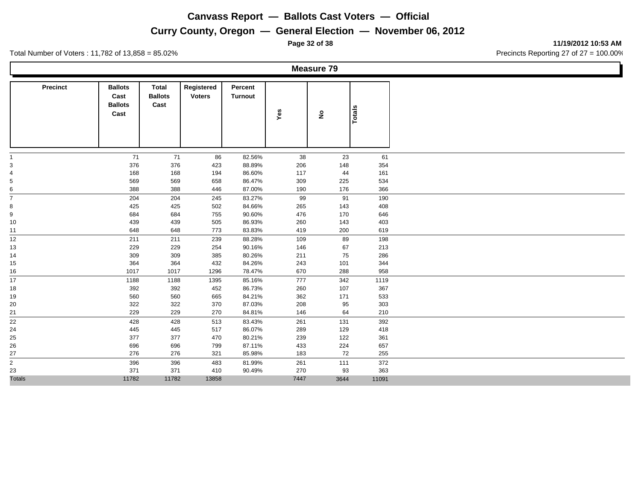**Curry County, Oregon — General Election — November 06, 2012**

**Page 32 of 38 11/19/2012 10:53 AM**

Total Number of Voters : 11,782 of 13,858 = 85.02% Precincts Reporting 27 of 27 = 100.00%

**Measure 79**

| <b>Precinct</b> | <b>Ballots</b> | <b>Total</b>   | Registered    | Percent        |      |                    |               |
|-----------------|----------------|----------------|---------------|----------------|------|--------------------|---------------|
|                 | Cast           | <b>Ballots</b> | <b>Voters</b> | <b>Turnout</b> |      |                    |               |
|                 | <b>Ballots</b> | Cast           |               |                |      |                    |               |
|                 | Cast           |                |               |                | Yes  | $\hat{\mathbf{z}}$ | <b>Totals</b> |
|                 |                |                |               |                |      |                    |               |
|                 |                |                |               |                |      |                    |               |
|                 |                |                |               |                |      |                    |               |
|                 |                |                |               |                |      |                    |               |
| $\overline{1}$  | 71             | 71             | 86            | 82.56%         | 38   | 23                 | 61            |
| 3               | 376            | 376            | 423           | 88.89%         | 206  | 148                | 354           |
| 4               | 168            | 168            | 194           | 86.60%         | 117  | 44                 | 161           |
| $\,$ 5 $\,$     | 569            | 569            | 658           | 86.47%         | 309  | 225                | 534           |
| 6               | 388            | 388            | 446           | 87.00%         | 190  | 176                | 366           |
| $\overline{7}$  | 204            | 204            | 245           | 83.27%         | 99   | 91                 | 190           |
| 8               | 425            | 425            | 502           | 84.66%         | 265  | 143                | 408           |
| 9               | 684            | 684            | 755           | 90.60%         | 476  | 170                | 646           |
| 10              | 439            | 439            | 505           | 86.93%         | 260  | 143                | 403           |
| 11              | 648            | 648            | 773           | 83.83%         | 419  | 200                | 619           |
| 12              | 211            | 211            | 239           | 88.28%         | 109  | 89                 | 198           |
| 13              | 229            | 229            | 254           | 90.16%         | 146  | 67                 | 213           |
| 14              | 309            | 309            | 385           | 80.26%         | 211  | 75                 | 286           |
| 15              | 364            | 364            | 432           | 84.26%         | 243  | 101                | 344           |
| 16              | 1017           | 1017           | 1296          | 78.47%         | 670  | 288                | 958           |
| 17              | 1188           | 1188           | 1395          | 85.16%         | 777  | 342                | 1119          |
| 18              | 392            | 392            | 452           | 86.73%         | 260  | 107                | 367           |
| 19              | 560            | 560            | 665           | 84.21%         | 362  | 171                | 533           |
| 20              | 322            | 322            | 370           | 87.03%         | 208  | 95                 | 303           |
| 21              | 229            | 229            | 270           | 84.81%         | 146  | 64                 | 210           |
| 22              | 428            | 428            | 513           | 83.43%         | 261  | 131                | 392           |
| 24              | 445            | 445            | 517           | 86.07%         | 289  | 129                | 418           |
| 25              | 377            | 377            | 470           | 80.21%         | 239  | 122                | 361           |
| 26              | 696            | 696            | 799           | 87.11%         | 433  | 224                | 657           |
| 27              | 276            | 276            | 321           | 85.98%         | 183  | 72                 | 255           |
| $\overline{2}$  | 396            | 396            | 483           | 81.99%         | 261  | 111                | 372           |
| 23              | 371            | 371            | 410           | 90.49%         | 270  | 93                 | 363           |
| <b>Totals</b>   | 11782          | 11782          | 13858         |                | 7447 | 3644               | 11091         |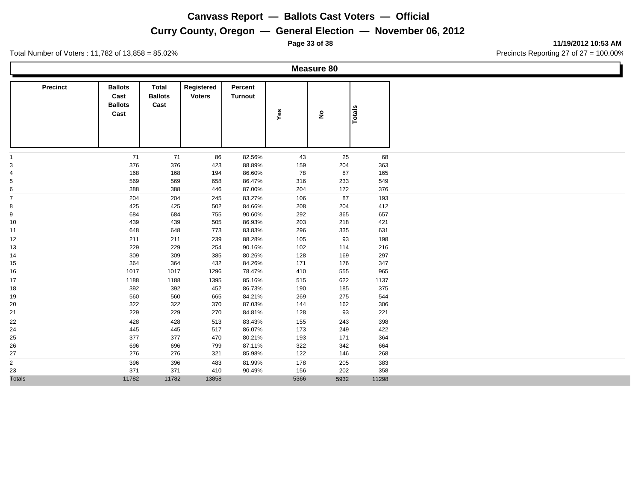## **Curry County, Oregon — General Election — November 06, 2012**

Total Number of Voters : 11,782 of 13,858 = 85.02% Precincts Reporting 27 of 27 = 100.00%

**Measure 80**

| <b>Precinct</b>                            | <b>Ballots</b><br>Cast<br><b>Ballots</b> | <b>Total</b><br><b>Ballots</b><br>Cast | Registered<br><b>Voters</b> | Percent<br><b>Turnout</b> |      |                    |               |
|--------------------------------------------|------------------------------------------|----------------------------------------|-----------------------------|---------------------------|------|--------------------|---------------|
|                                            | Cast                                     |                                        |                             |                           | Yes  | $\hat{\mathbf{z}}$ | <b>Totals</b> |
|                                            |                                          |                                        |                             |                           |      |                    |               |
| $\mathbf{1}$                               | 71                                       | 71                                     | 86                          | 82.56%                    | 43   | 25                 | 68            |
| $\mathsf 3$                                | 376                                      | 376                                    | 423                         | 88.89%                    | 159  | 204                | 363           |
| $\overline{\mathbf{4}}$                    | 168                                      | 168                                    | 194                         | 86.60%                    | 78   | 87                 | 165           |
| $\,$ 5 $\,$                                | 569                                      | 569                                    | 658                         | 86.47%                    | 316  | 233                | 549           |
| 6                                          | 388                                      | 388                                    | 446                         | 87.00%                    | 204  | 172                | 376           |
| $\overline{7}$                             | 204                                      | 204                                    | 245                         | 83.27%                    | 106  | 87                 | 193           |
| 8                                          | 425                                      | 425                                    | 502                         | 84.66%                    | 208  | 204                | 412           |
| 9                                          | 684                                      | 684                                    | 755                         | 90.60%                    | 292  | 365                | 657           |
| 10                                         | 439                                      | 439                                    | 505                         | 86.93%                    | 203  | 218                | 421           |
| 11                                         | 648                                      | 648                                    | 773                         | 83.83%                    | 296  | 335                | 631           |
| 12                                         | 211                                      | 211                                    | 239                         | 88.28%                    | 105  | 93                 | 198           |
| 13                                         | 229                                      | 229                                    | 254                         | 90.16%                    | 102  | 114                | 216           |
| 14                                         | 309                                      | 309                                    | 385                         | 80.26%                    | 128  | 169                | 297           |
| 15                                         | 364                                      | 364                                    | 432                         | 84.26%                    | 171  | 176                | 347           |
| 16                                         | 1017                                     | 1017                                   | 1296                        | 78.47%                    | 410  | 555                | 965           |
| 17                                         | 1188                                     | 1188                                   | 1395                        | 85.16%                    | 515  | 622                | 1137          |
| 18                                         | 392                                      | 392                                    | 452                         | 86.73%                    | 190  | 185                | 375           |
| 19                                         | 560                                      | 560                                    | 665                         | 84.21%                    | 269  | 275                | 544           |
| 20                                         | 322                                      | 322                                    | 370                         | 87.03%                    | 144  | 162                | 306           |
| 21                                         | 229                                      | 229                                    | 270                         | 84.81%                    | 128  | 93                 | 221           |
| 22                                         | 428                                      | 428                                    | 513                         | 83.43%                    | 155  | 243                | 398           |
| 24                                         | 445                                      | 445                                    | 517                         | 86.07%                    | 173  | 249                | 422           |
| 25                                         | 377                                      | 377                                    | 470                         | 80.21%                    | 193  | 171                | 364           |
| 26                                         | 696                                      | 696                                    | 799                         | 87.11%                    | 322  | 342                | 664           |
| 27                                         | 276                                      | 276                                    | 321                         | 85.98%                    | 122  | 146                | 268           |
| $\overline{\phantom{0}}$<br>$\overline{c}$ | 396                                      | 396                                    | 483                         | 81.99%                    | 178  | 205                | 383           |
| 23                                         | 371                                      | 371                                    | 410                         | 90.49%                    | 156  | 202                | 358           |
| <b>Totals</b>                              | 11782                                    | 11782                                  | 13858                       |                           | 5366 | 5932               | 11298         |

**Page 33 of 38 11/19/2012 10:53 AM**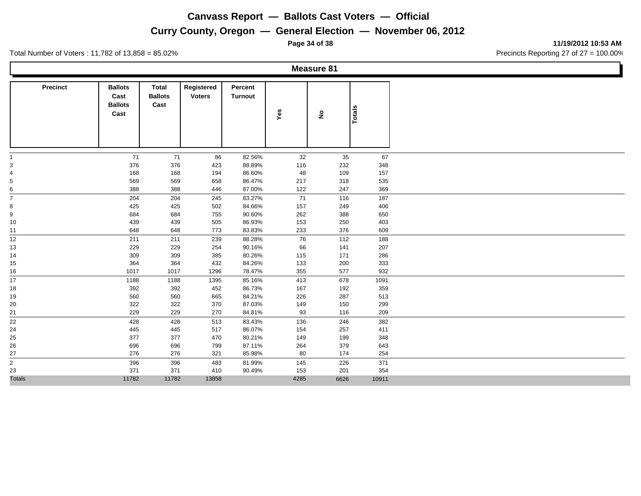## **Curry County, Oregon — General Election — November 06, 2012**

Total Number of Voters : 11,782 of 13,858 = 85.02% Precincts Reporting 27 of 27 = 100.00%

**Measure 81**

| <b>Precinct</b>         | <b>Ballots</b><br>Cast<br><b>Ballots</b><br>Cast | <b>Total</b><br><b>Ballots</b><br>Cast | Registered<br><b>Voters</b> | Percent<br><b>Turnout</b> | Yes  | $\hat{\mathbf{z}}$ | <b>Totals</b> |
|-------------------------|--------------------------------------------------|----------------------------------------|-----------------------------|---------------------------|------|--------------------|---------------|
|                         |                                                  |                                        |                             |                           |      |                    |               |
| $\mathbf{1}$            | 71                                               | 71                                     | 86                          | 82.56%                    | 32   | 35                 | 67            |
| 3                       | 376                                              | 376                                    | 423                         | 88.89%                    | 116  | 232                | 348           |
| $\overline{\mathbf{4}}$ | 168                                              | 168                                    | 194                         | 86.60%                    | 48   | 109                | 157           |
| $\,$ 5 $\,$             | 569                                              | 569                                    | 658                         | 86.47%                    | 217  | 318                | 535           |
| 6                       | 388                                              | 388                                    | 446                         | 87.00%                    | 122  | 247                | 369           |
| $\overline{7}$          | 204                                              | 204                                    | 245                         | 83.27%                    | 71   | 116                | 187           |
| 8                       | 425                                              | 425                                    | 502                         | 84.66%                    | 157  | 249                | 406           |
| 9                       | 684                                              | 684                                    | 755                         | 90.60%                    | 262  | 388                | 650           |
| 10                      | 439                                              | 439                                    | 505                         | 86.93%                    | 153  | 250                | 403           |
| 11                      | 648                                              | 648                                    | 773                         | 83.83%                    | 233  | 376                | 609           |
| 12                      | 211                                              | 211                                    | 239                         | 88.28%                    | 76   | 112                | 188           |
| 13                      | 229                                              | 229                                    | 254                         | 90.16%                    | 66   | 141                | 207           |
| 14                      | 309                                              | 309                                    | 385                         | 80.26%                    | 115  | 171                | 286           |
| 15                      | 364                                              | 364                                    | 432                         | 84.26%                    | 133  | 200                | 333           |
| 16                      | 1017                                             | 1017                                   | 1296                        | 78.47%                    | 355  | 577                | 932           |
| 17                      | 1188                                             | 1188                                   | 1395                        | 85.16%                    | 413  | 678                | 1091          |
| 18                      | 392                                              | 392                                    | 452                         | 86.73%                    | 167  | 192                | 359           |
| 19                      | 560                                              | 560                                    | 665                         | 84.21%                    | 226  | 287                | 513           |
| 20                      | 322                                              | 322                                    | 370                         | 87.03%                    | 149  | 150                | 299           |
| 21                      | 229                                              | 229                                    | 270                         | 84.81%                    | 93   | 116                | 209           |
| 22                      | 428                                              | 428                                    | 513                         | 83.43%                    | 136  | 246                | 382           |
| 24                      | 445                                              | 445                                    | 517                         | 86.07%                    | 154  | 257                | 411           |
| 25                      | 377                                              | 377                                    | 470                         | 80.21%                    | 149  | 199                | 348           |
| 26                      | 696                                              | 696                                    | 799                         | 87.11%                    | 264  | 379                | 643           |
| 27                      | 276                                              | 276                                    | 321                         | 85.98%                    | 80   | 174                | 254           |
| $\overline{2}$          | 396                                              | 396                                    | 483                         | 81.99%                    | 145  | 226                | 371           |
| 23                      | 371                                              | 371                                    | 410                         | 90.49%                    | 153  | 201                | 354           |
| <b>Totals</b>           | 11782                                            | 11782                                  | 13858                       |                           | 4285 | 6626               | 10911         |

**Page 34 of 38 11/19/2012 10:53 AM**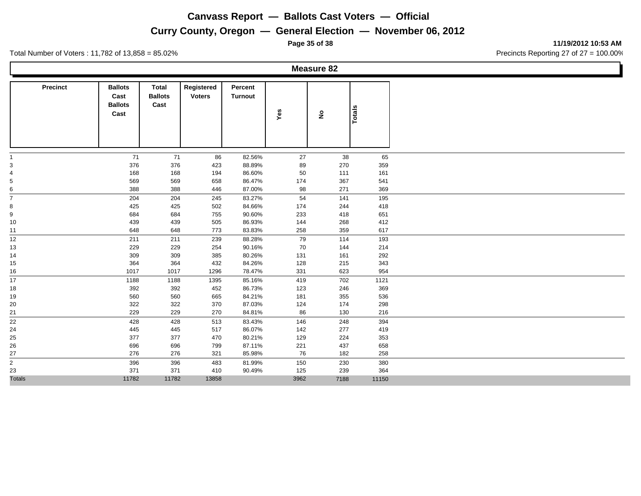**Curry County, Oregon — General Election — November 06, 2012**

**Page 35 of 38 11/19/2012 10:53 AM**

Total Number of Voters : 11,782 of 13,858 = 85.02% Precincts Reporting 27 of 27 = 100.00%

**Measure 82**

| <b>Precinct</b> | <b>Ballots</b> | Total          | Registered    | Percent          |            |                    |               |
|-----------------|----------------|----------------|---------------|------------------|------------|--------------------|---------------|
|                 | Cast           | <b>Ballots</b> | <b>Voters</b> | <b>Turnout</b>   |            |                    |               |
|                 | <b>Ballots</b> | Cast           |               |                  |            |                    |               |
|                 | Cast           |                |               |                  | Yes        | $\hat{\mathbf{z}}$ | <b>Totals</b> |
|                 |                |                |               |                  |            |                    |               |
|                 |                |                |               |                  |            |                    |               |
|                 |                |                |               |                  |            |                    |               |
| -1              | 71             | 71             | 86            | 82.56%           | 27         | 38                 | 65            |
| $\mathsf 3$     | 376            | 376            | 423           | 88.89%           | 89         | 270                | 359           |
| 4               | 168            | 168            | 194           | 86.60%           | 50         | 111                | 161           |
| $\,$ 5 $\,$     | 569            | 569            | 658           | 86.47%           | 174        | 367                | 541           |
| 6               | 388            | 388            | 446           | 87.00%           | 98         | 271                | 369           |
| $\overline{7}$  | 204            | 204            | 245           | 83.27%           | 54         | 141                | 195           |
| 8               | 425            | 425            | 502           | 84.66%           | 174        | 244                | 418           |
| 9               | 684            | 684            | 755           | 90.60%           | 233        | 418                | 651           |
| 10              | 439            | 439            | 505           | 86.93%           | 144        | 268                | 412           |
| 11              | 648            | 648            | 773           | 83.83%           | 258        | 359                | 617           |
| 12              | 211            | 211            | 239           | 88.28%           | 79         | 114                | 193           |
| 13              | 229            | 229            | 254           | 90.16%           | 70         | 144                | 214           |
| 14              | 309            | 309            | 385           | 80.26%           | 131        | 161                | 292           |
| 15              | 364            | 364            | 432           | 84.26%           | 128        | 215                | 343           |
| 16              | 1017           | 1017           | 1296          | 78.47%           | 331        | 623                | 954           |
| 17              | 1188           | 1188           | 1395          | 85.16%           | 419        | 702                | 1121          |
| 18              | 392<br>560     | 392<br>560     | 452           | 86.73%<br>84.21% | 123        | 246<br>355         | 369<br>536    |
| 19<br>20        | 322            | 322            | 665<br>370    | 87.03%           | 181<br>124 | 174                | 298           |
| 21              | 229            | 229            | 270           | 84.81%           | 86         | 130                | 216           |
|                 | 428            | 428            | 513           | 83.43%           | 146        | 248                | 394           |
| 22<br>24        | 445            | 445            | 517           | 86.07%           | 142        | 277                | 419           |
| 25              | 377            | 377            | 470           | 80.21%           | 129        | 224                | 353           |
| 26              | 696            | 696            | 799           | 87.11%           | 221        | 437                | 658           |
| 27              | 276            | 276            | 321           | 85.98%           | 76         | 182                | 258           |
| $\overline{2}$  | 396            | 396            | 483           | 81.99%           | 150        | 230                | 380           |
| 23              | 371            | 371            | 410           | 90.49%           | 125        | 239                | 364           |
| <b>Totals</b>   | 11782          | 11782          | 13858         |                  | 3962       | 7188               | 11150         |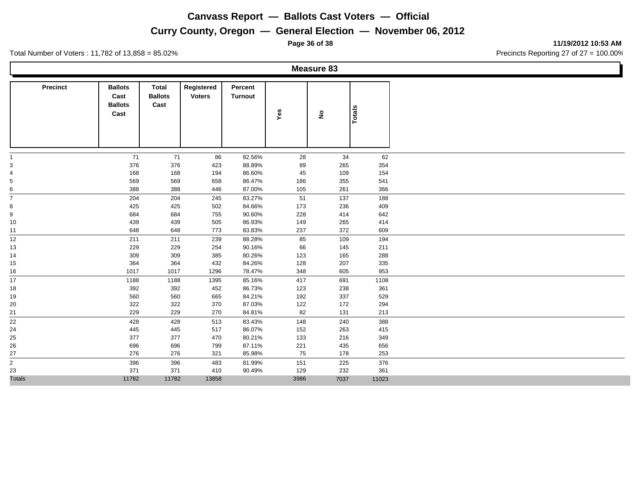## **Curry County, Oregon — General Election — November 06, 2012**

**Page 36 of 38 11/19/2012 10:53 AM**

Total Number of Voters : 11,782 of 13,858 = 85.02% Precincts Reporting 27 of 27 = 100.00%

**Measure 83**

| <b>Precinct</b> | <b>Ballots</b><br>Cast<br><b>Ballots</b> | Total<br><b>Ballots</b><br>Cast | Registered<br><b>Voters</b> | Percent<br><b>Turnout</b> |            |                    |               |
|-----------------|------------------------------------------|---------------------------------|-----------------------------|---------------------------|------------|--------------------|---------------|
|                 | Cast                                     |                                 |                             |                           | Yes        | $\hat{\mathbf{z}}$ | <b>Totals</b> |
|                 |                                          |                                 |                             |                           |            |                    |               |
| -1              | 71                                       | 71                              | 86                          | 82.56%                    | 28         | 34                 | 62            |
| $\mathsf 3$     | 376                                      | 376                             | 423                         | 88.89%                    | 89         | 265                | 354           |
| 4               | 168                                      | 168                             | 194                         | 86.60%                    | 45         | 109                | 154           |
| $\,$ 5 $\,$     | 569                                      | 569                             | 658                         | 86.47%                    | 186        | 355                | 541           |
| 6               | 388                                      | 388                             | 446                         | 87.00%                    | 105        | 261                | 366           |
| $\overline{7}$  | 204                                      | 204                             | 245                         | 83.27%                    | 51         | 137                | 188           |
| 8               | 425                                      | 425                             | 502                         | 84.66%                    | 173        | 236                | 409           |
| 9               | 684                                      | 684                             | 755                         | 90.60%                    | 228        | 414                | 642           |
| 10              | 439                                      | 439                             | 505                         | 86.93%                    | 149        | 265                | 414           |
| 11              | 648                                      | 648                             | 773                         | 83.83%                    | 237        | 372                | 609           |
| 12              | 211                                      | 211                             | 239                         | 88.28%                    | 85         | 109                | 194           |
| 13              | 229                                      | 229                             | 254                         | 90.16%                    | 66         | 145                | 211           |
| 14              | 309                                      | 309                             | 385                         | 80.26%                    | 123        | 165                | 288           |
| 15              | 364                                      | 364                             | 432                         | 84.26%                    | 128        | 207                | 335           |
| 16              | 1017                                     | 1017                            | 1296                        | 78.47%                    | 348        | 605                | 953           |
| 17              | 1188                                     | 1188                            | 1395                        | 85.16%                    | 417        | 691                | 1108          |
| 18              | 392                                      | 392                             | 452                         | 86.73%                    | 123        | 238                | 361           |
| 19              | 560<br>322                               | 560<br>322                      | 665<br>370                  | 84.21%<br>87.03%          | 192<br>122 | 337<br>172         | 529<br>294    |
| 20<br>21        | 229                                      | 229                             | 270                         | 84.81%                    | 82         | 131                | 213           |
|                 |                                          |                                 |                             |                           |            |                    |               |
| 22<br>24        | 428<br>445                               | 428<br>445                      | 513<br>517                  | 83.43%<br>86.07%          | 148<br>152 | 240<br>263         | 388<br>415    |
| 25              | 377                                      | 377                             | 470                         | 80.21%                    | 133        | 216                | 349           |
| 26              | 696                                      | 696                             | 799                         | 87.11%                    | 221        | 435                | 656           |
| 27              | 276                                      | 276                             | 321                         | 85.98%                    | 75         | 178                | 253           |
| $\overline{2}$  | 396                                      | 396                             | 483                         | 81.99%                    | 151        | 225                | 376           |
| 23              | 371                                      | 371                             | 410                         | 90.49%                    | 129        | 232                | 361           |
| <b>Totals</b>   | 11782                                    | 11782                           | 13858                       |                           | 3986       | 7037               | 11023         |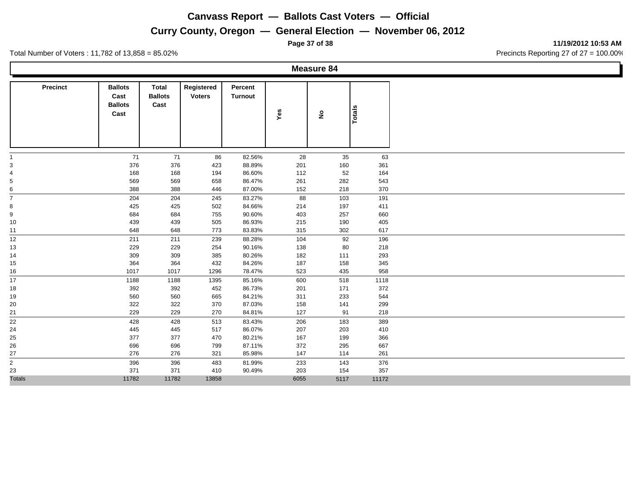## **Curry County, Oregon — General Election — November 06, 2012**

Total Number of Voters : 11,782 of 13,858 = 85.02% Precincts Reporting 27 of 27 = 100.00%

**Measure 84**

| <b>Precinct</b>                | <b>Ballots</b>                 | <b>Total</b>           | Registered    | Percent        |      |                    |               |
|--------------------------------|--------------------------------|------------------------|---------------|----------------|------|--------------------|---------------|
|                                | Cast<br><b>Ballots</b><br>Cast | <b>Ballots</b><br>Cast | <b>Voters</b> | <b>Turnout</b> | Yes  | $\hat{\mathbf{z}}$ | <b>Totals</b> |
|                                |                                |                        |               |                |      |                    |               |
| $\mathbf{1}$                   | 71                             | 71                     | 86            | 82.56%         | 28   | 35                 | 63            |
| $\mathsf 3$                    | 376                            | 376                    | 423           | 88.89%         | 201  | 160                | 361           |
| $\overline{\mathbf{4}}$        | 168                            | 168                    | 194           | 86.60%         | 112  | 52                 | 164           |
| $\,$ 5 $\,$                    | 569                            | 569                    | 658           | 86.47%         | 261  | 282                | 543           |
| 6                              | 388                            | 388                    | 446           | 87.00%         | 152  | 218                | 370           |
| $\overline{7}$                 | 204                            | 204                    | 245           | 83.27%         | 88   | 103                | 191           |
| 8                              | 425                            | 425                    | 502           | 84.66%         | 214  | 197                | 411           |
| 9                              | 684                            | 684                    | 755           | 90.60%         | 403  | 257                | 660           |
| 10                             | 439                            | 439                    | 505           | 86.93%         | 215  | 190                | 405           |
| 11                             | 648                            | 648                    | 773           | 83.83%         | 315  | 302                | 617           |
| 12                             | 211                            | 211                    | 239           | 88.28%         | 104  | 92                 | 196           |
| 13                             | 229                            | 229                    | 254           | 90.16%         | 138  | 80                 | 218           |
| 14                             | 309                            | 309                    | 385           | 80.26%         | 182  | 111                | 293           |
| 15                             | 364                            | 364                    | 432           | 84.26%         | 187  | 158                | 345           |
| 16                             | 1017                           | 1017                   | 1296          | 78.47%         | 523  | 435                | 958           |
| 17                             | 1188                           | 1188                   | 1395          | 85.16%         | 600  | 518                | 1118          |
| 18                             | 392                            | 392                    | 452           | 86.73%         | 201  | 171                | 372           |
| 19                             | 560                            | 560                    | 665           | 84.21%         | 311  | 233                | 544           |
| 20                             | 322                            | 322                    | 370           | 87.03%         | 158  | 141                | 299           |
| 21                             | 229                            | 229                    | 270           | 84.81%         | 127  | 91                 | 218           |
| 22                             | 428                            | 428                    | 513           | 83.43%         | 206  | 183                | 389           |
| 24                             | 445                            | 445                    | 517           | 86.07%         | 207  | 203                | 410           |
| 25                             | 377                            | 377                    | 470           | 80.21%         | 167  | 199                | 366           |
| 26                             | 696                            | 696                    | 799           | 87.11%         | 372  | 295                | 667           |
| 27<br>$\overline{\phantom{0}}$ | 276                            | 276                    | 321           | 85.98%         | 147  | 114                | 261           |
| $\overline{c}$                 | 396                            | 396                    | 483           | 81.99%         | 233  | 143                | 376           |
| 23                             | 371                            | 371                    | 410           | 90.49%         | 203  | 154                | 357           |
| <b>Totals</b>                  | 11782                          | 11782                  | 13858         |                | 6055 | 5117               | 11172         |

**Page 37 of 38 11/19/2012 10:53 AM**